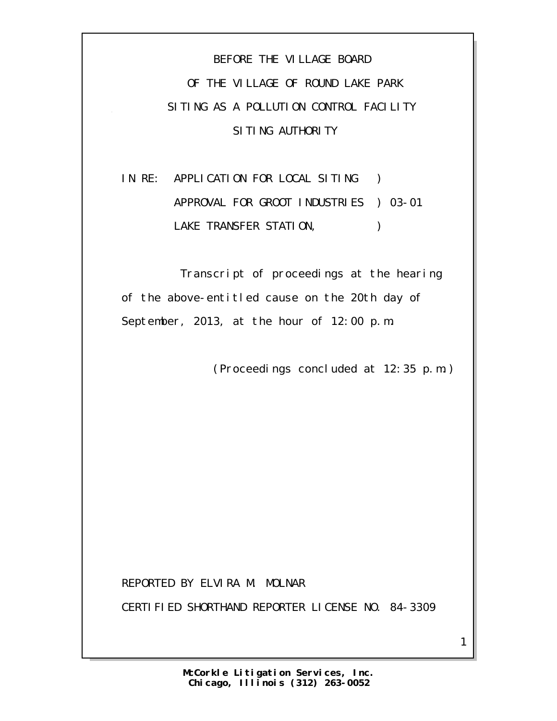BEFORE THE VILLAGE BOARD OF THE VILLAGE OF ROUND LAKE PARK SITING AS A POLLUTION CONTROL FACILITY SITING AUTHORITY

IN RE: APPLICATION FOR LOCAL SITING ) APPROVAL FOR GROOT INDUSTRIES ) 03-01 LAKE TRANSFER STATION,  $\qquad \qquad$ )

 Transcript of proceedings at the hearing of the above-entitled cause on the 20th day of September, 2013, at the hour of 12:00 p.m.

(Proceedings concluded at 12:35 p.m.)

1

REPORTED BY ELVIRA M. MOLNAR

CERTIFIED SHORTHAND REPORTER LICENSE NO. 84-3309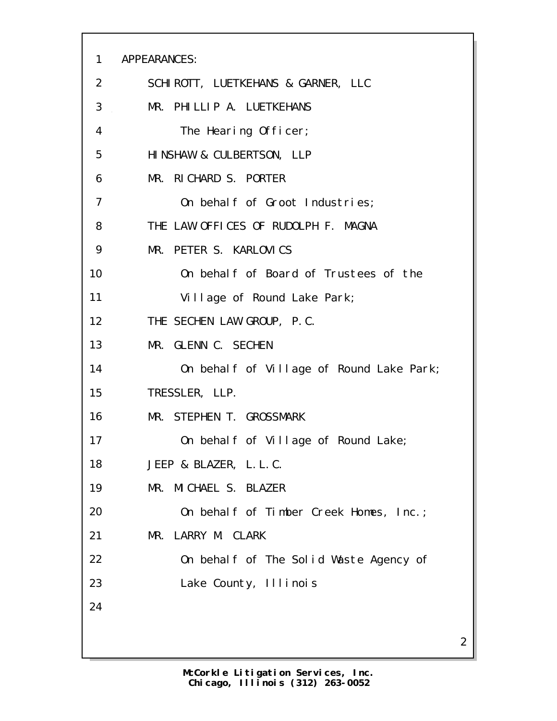APPEARANCES: SCHIROTT, LUETKEHANS & GARNER, LLC MR. PHILLIP A. LUETKEHANS The Hearing Officer; HINSHAW & CULBERTSON, LLP MR. RICHARD S. PORTER On behalf of Groot Industries; THE LAW OFFICES OF RUDOLPH F. MAGNA MR. PETER S. KARLOVICS On behalf of Board of Trustees of the 11 Village of Round Lake Park; THE SECHEN LAW GROUP, P.C. MR. GLENN C. SECHEN 14 On behalf of Village of Round Lake Park; TRESSLER, LLP. MR. STEPHEN T. GROSSMARK 17 On behalf of Village of Round Lake; JEEP & BLAZER, L.L.C. MR. MICHAEL S. BLAZER 20 On behalf of Timber Creek Homes, Inc.; MR. LARRY M. CLARK On behalf of The Solid Waste Agency of Lake County, Illinois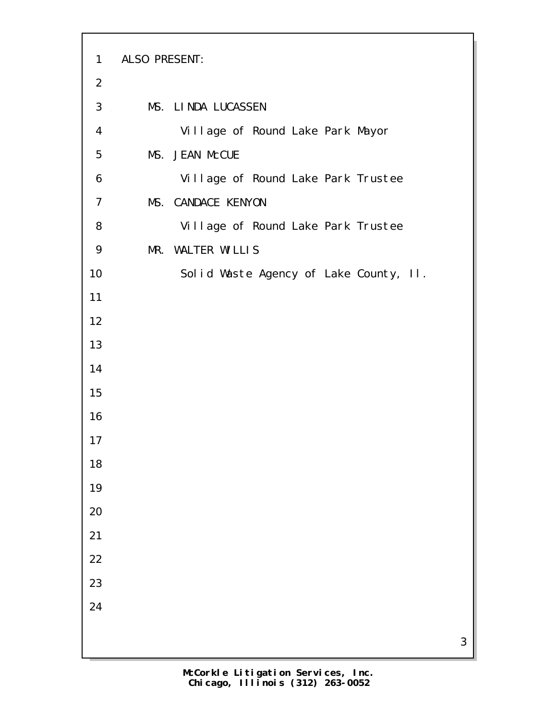| $\mathbf{1}$   | ALSO PRESENT: |                                        |
|----------------|---------------|----------------------------------------|
| $\overline{2}$ |               |                                        |
| 3              |               | MS. LINDA LUCASSEN                     |
| 4              |               | Village of Round Lake Park Mayor       |
| 5              |               | MS. JEAN McCUE                         |
| 6              |               | Village of Round Lake Park Trustee     |
| $\overline{7}$ |               | MS. CANDACE KENYON                     |
| 8              |               | Village of Round Lake Park Trustee     |
| 9              |               | MR. WALTER WILLIS                      |
| 10             |               | Solid Waste Agency of Lake County, II. |
| 11             |               |                                        |
| 12             |               |                                        |
| 13             |               |                                        |
| 14             |               |                                        |
| 15             |               |                                        |
| 16             |               |                                        |
| 17             |               |                                        |
| 18             |               |                                        |
| 19             |               |                                        |
| 20             |               |                                        |
| 21             |               |                                        |
| 22             |               |                                        |
| 23             |               |                                        |
| 24             |               |                                        |
|                |               |                                        |
|                |               |                                        |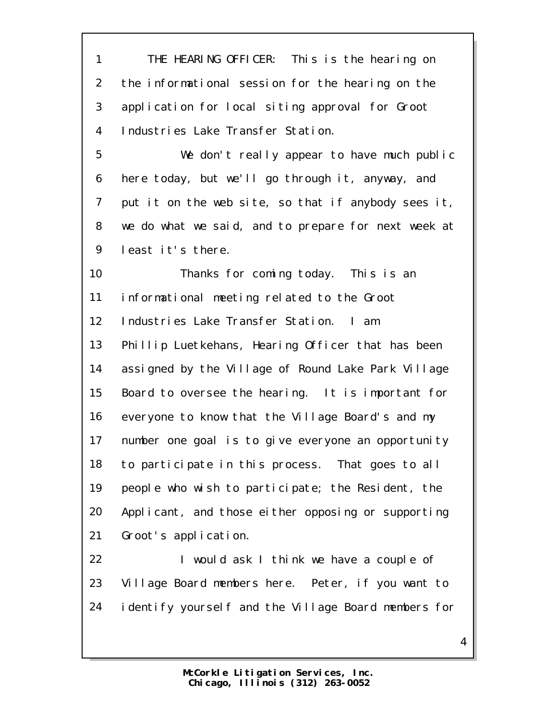THE HEARING OFFICER: This is the hearing on the informational session for the hearing on the application for local siting approval for Groot Industries Lake Transfer Station.

 We don't really appear to have much public here today, but we'll go through it, anyway, and put it on the web site, so that if anybody sees it, we do what we said, and to prepare for next week at least it's there.

 Thanks for coming today. This is an informational meeting related to the Groot 12 Industries Lake Transfer Station. I am Phillip Luetkehans, Hearing Officer that has been assigned by the Village of Round Lake Park Village Board to oversee the hearing. It is important for everyone to know that the Village Board's and my number one goal is to give everyone an opportunity to participate in this process. That goes to all people who wish to participate; the Resident, the Applicant, and those either opposing or supporting Groot's application.

22 I would ask I think we have a couple of Village Board members here. Peter, if you want to identify yourself and the Village Board members for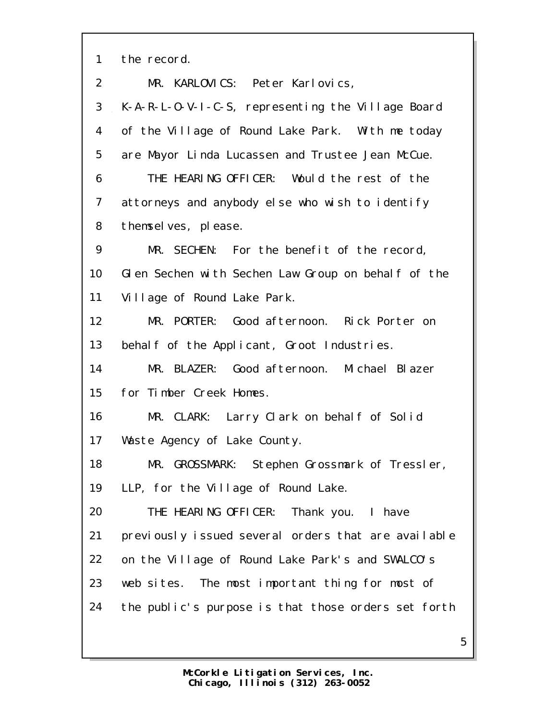the record.

| 2  | MR. KARLOVICS: Peter Karlovics,                     |
|----|-----------------------------------------------------|
| 3  | K-A-R-L-O-V-I-C-S, representing the Village Board   |
| 4  | of the Village of Round Lake Park. With me today    |
| 5  | are Mayor Linda Lucassen and Trustee Jean McCue.    |
| 6  | THE HEARING OFFICER: Would the rest of the          |
| 7  | attorneys and anybody else who wish to identify     |
| 8  | themselves, please.                                 |
| 9  | MR. SECHEN: For the benefit of the record,          |
| 10 | Glen Sechen with Sechen Law Group on behalf of the  |
| 11 | Village of Round Lake Park.                         |
| 12 | MR. PORTER: Good afternoon. Rick Porter on          |
| 13 | behalf of the Applicant, Groot Industries.          |
| 14 | MR. BLAZER: Good afternoon. Michael Blazer          |
| 15 | for Timber Creek Homes.                             |
| 16 | MR. CLARK: Larry Clark on behalf of Solid           |
| 17 | Waste Agency of Lake County.                        |
| 18 | MR. GROSSMARK: Stephen Grossmark of Tressler,       |
| 19 | LLP, for the Village of Round Lake.                 |
| 20 | THE HEARING OFFICER: Thank you. I have              |
| 21 | previously issued several orders that are available |
| 22 | on the Village of Round Lake Park's and SWALCO's    |
| 23 | web sites. The most important thing for most of     |
| 24 | the public's purpose is that those orders set forth |
|    |                                                     |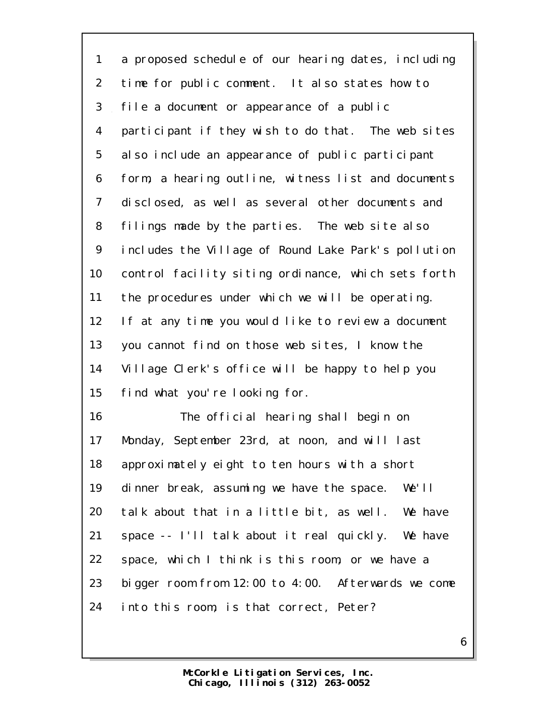a proposed schedule of our hearing dates, including time for public comment. It also states how to file a document or appearance of a public participant if they wish to do that. The web sites also include an appearance of public participant form, a hearing outline, witness list and documents disclosed, as well as several other documents and filings made by the parties. The web site also includes the Village of Round Lake Park's pollution control facility siting ordinance, which sets forth the procedures under which we will be operating. If at any time you would like to review a document you cannot find on those web sites, I know the Village Clerk's office will be happy to help you find what you're looking for.

 The official hearing shall begin on Monday, September 23rd, at noon, and will last approximately eight to ten hours with a short dinner break, assuming we have the space. We'll talk about that in a little bit, as well. We have space -- I'll talk about it real quickly. We have space, which I think is this room, or we have a bigger room from 12:00 to 4:00. Afterwards we come into this room, is that correct, Peter?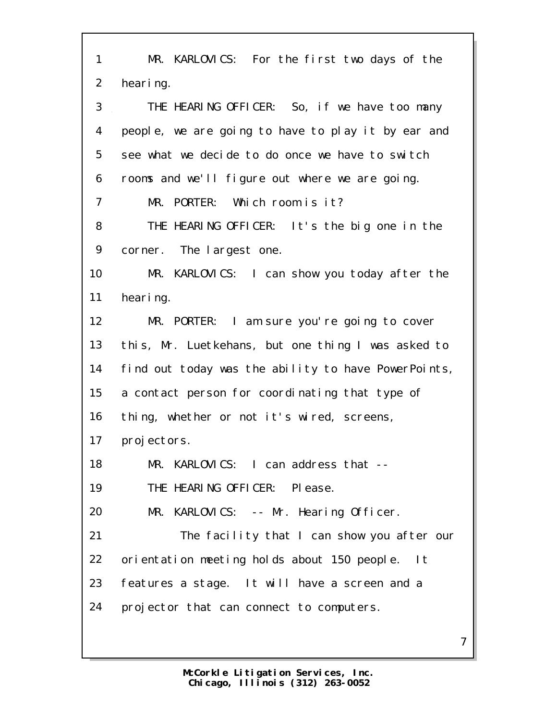| 1              | MR. KARLOVICS: For the first two days of the        |
|----------------|-----------------------------------------------------|
| $\overline{2}$ | hearing.                                            |
| 3              | THE HEARING OFFICER: So, if we have too many        |
| 4              | people, we are going to have to play it by ear and  |
| 5              | see what we decide to do once we have to switch     |
| 6              | rooms and we'll figure out where we are going.      |
| 7              | MR. PORTER: Which room is it?                       |
| 8              | THE HEARING OFFICER: It's the big one in the        |
| 9              | corner. The largest one.                            |
| 10             | MR. KARLOVICS: I can show you today after the       |
| 11             | hearing.                                            |
| 12             | MR. PORTER: I am sure you're going to cover         |
| 13             | this, Mr. Luetkehans, but one thing I was asked to  |
| 14             | find out today was the ability to have PowerPoints, |
| 15             | a contact person for coordinating that type of      |
| 16             | thing, whether or not it's wired, screens,          |
| 17             | projectors.                                         |
| 18             | MR. KARLOVICS: I can address that --                |
| 19             | THE HEARING OFFICER: Please.                        |
| 20             | MR. KARLOVICS: -- Mr. Hearing Officer.              |
| 21             | The facility that I can show you after our          |
| 22             | orientation meeting holds about 150 people. It      |
| 23             | features a stage. It will have a screen and a       |
| 24             | projector that can connect to computers.            |
|                | 7                                                   |
|                |                                                     |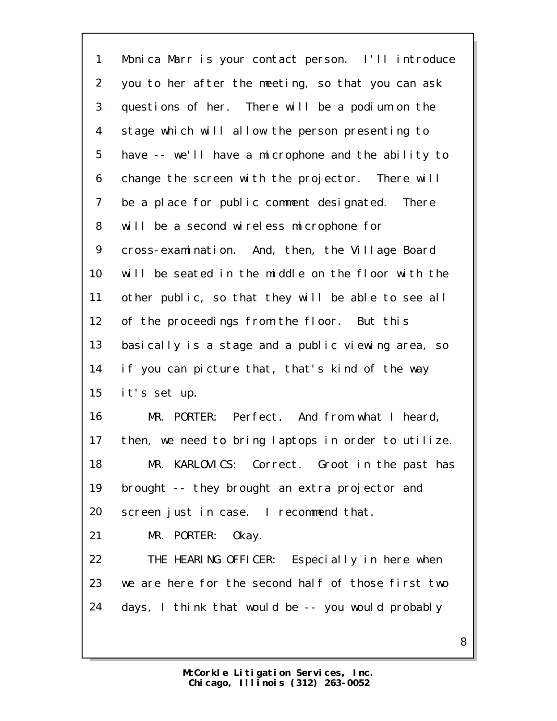Monica Marr is your contact person. I'll introduce you to her after the meeting, so that you can ask questions of her. There will be a podium on the stage which will allow the person presenting to have -- we'll have a microphone and the ability to change the screen with the projector. There will be a place for public comment designated. There will be a second wireless microphone for cross-examination. And, then, the Village Board will be seated in the middle on the floor with the other public, so that they will be able to see all of the proceedings from the floor. But this basically is a stage and a public viewing area, so if you can picture that, that's kind of the way it's set up. MR. PORTER: Perfect. And from what I heard, then, we need to bring laptops in order to utilize. MR. KARLOVICS: Correct. Groot in the past has brought -- they brought an extra projector and screen just in case. I recommend that. MR. PORTER: Okay. THE HEARING OFFICER: Especially in here when we are here for the second half of those first two days, I think that would be -- you would probably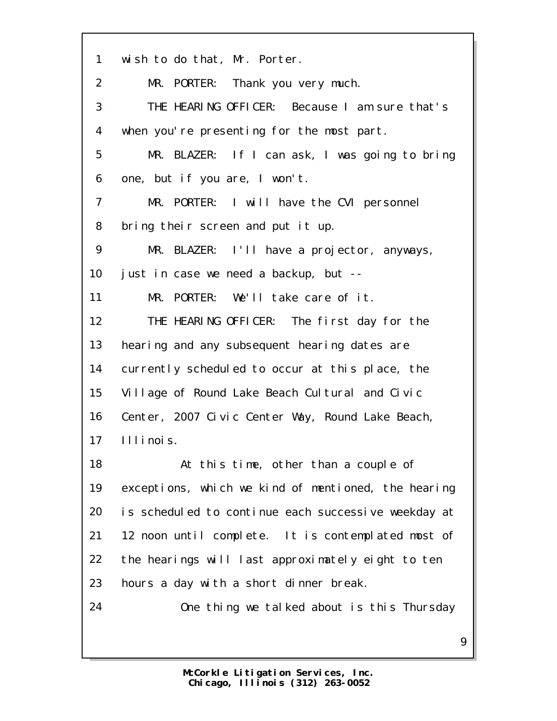wish to do that, Mr. Porter. MR. PORTER: Thank you very much. THE HEARING OFFICER: Because I am sure that's when you're presenting for the most part. MR. BLAZER: If I can ask, I was going to bring one, but if you are, I won't. MR. PORTER: I will have the CVI personnel bring their screen and put it up. MR. BLAZER: I'll have a projector, anyways, just in case we need a backup, but -- MR. PORTER: We'll take care of it. THE HEARING OFFICER: The first day for the hearing and any subsequent hearing dates are currently scheduled to occur at this place, the Village of Round Lake Beach Cultural and Civic Center, 2007 Civic Center Way, Round Lake Beach, Illinois. At this time, other than a couple of exceptions, which we kind of mentioned, the hearing is scheduled to continue each successive weekday at 12 noon until complete. It is contemplated most of the hearings will last approximately eight to ten hours a day with a short dinner break. One thing we talked about is this Thursday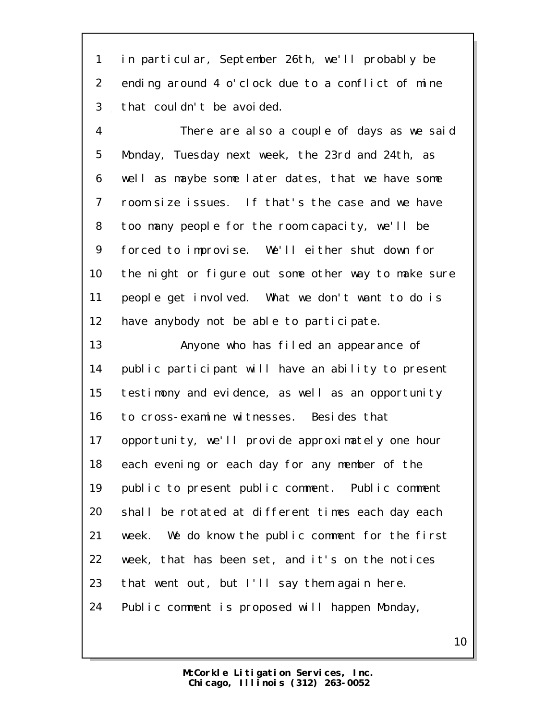in particular, September 26th, we'll probably be ending around 4 o'clock due to a conflict of mine that couldn't be avoided.

 There are also a couple of days as we said Monday, Tuesday next week, the 23rd and 24th, as well as maybe some later dates, that we have some room size issues. If that's the case and we have too many people for the room capacity, we'll be forced to improvise. We'll either shut down for the night or figure out some other way to make sure people get involved. What we don't want to do is 12 have anybody not be able to participate.

 Anyone who has filed an appearance of public participant will have an ability to present testimony and evidence, as well as an opportunity to cross-examine witnesses. Besides that 17 opportunity, we'll provide approximately one hour each evening or each day for any member of the public to present public comment. Public comment shall be rotated at different times each day each week. We do know the public comment for the first week, that has been set, and it's on the notices that went out, but I'll say them again here. Public comment is proposed will happen Monday,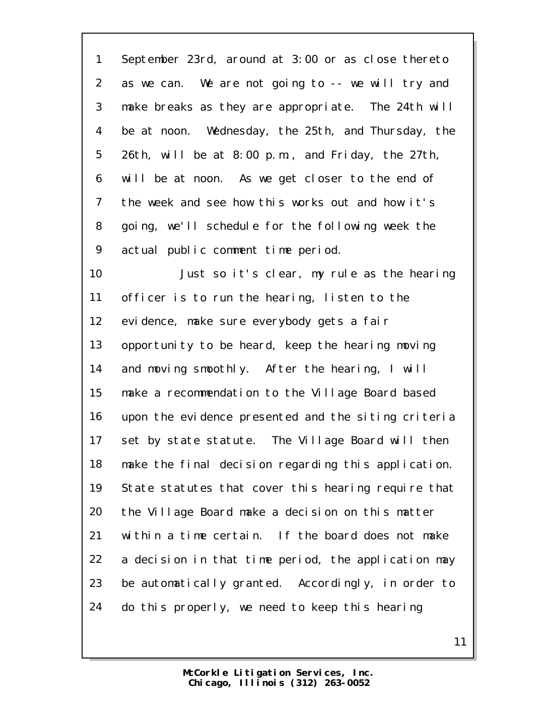September 23rd, around at 3:00 or as close thereto as we can. We are not going to -- we will try and make breaks as they are appropriate. The 24th will be at noon. Wednesday, the 25th, and Thursday, the 26th, will be at 8:00 p.m., and Friday, the 27th, will be at noon. As we get closer to the end of the week and see how this works out and how it's going, we'll schedule for the following week the actual public comment time period. Just so it's clear, my rule as the hearing officer is to run the hearing, listen to the evidence, make sure everybody gets a fair opportunity to be heard, keep the hearing moving and moving smoothly. After the hearing, I will make a recommendation to the Village Board based upon the evidence presented and the siting criteria

 set by state statute. The Village Board will then make the final decision regarding this application. State statutes that cover this hearing require that the Village Board make a decision on this matter within a time certain. If the board does not make a decision in that time period, the application may be automatically granted. Accordingly, in order to do this properly, we need to keep this hearing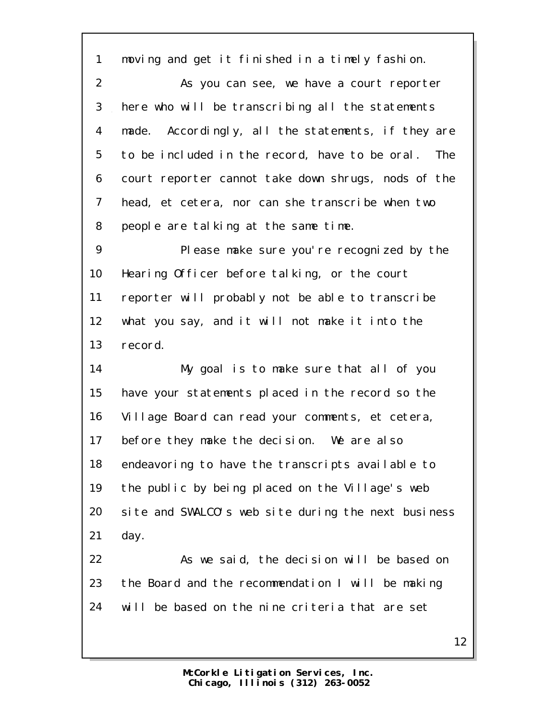moving and get it finished in a timely fashion.

 As you can see, we have a court reporter here who will be transcribing all the statements made. Accordingly, all the statements, if they are to be included in the record, have to be oral. The court reporter cannot take down shrugs, nods of the head, et cetera, nor can she transcribe when two people are talking at the same time.

 Please make sure you're recognized by the Hearing Officer before talking, or the court reporter will probably not be able to transcribe what you say, and it will not make it into the record.

 My goal is to make sure that all of you have your statements placed in the record so the Village Board can read your comments, et cetera, before they make the decision. We are also endeavoring to have the transcripts available to the public by being placed on the Village's web site and SWALCO's web site during the next business day.

 As we said, the decision will be based on the Board and the recommendation I will be making will be based on the nine criteria that are set

> **Chicago, Illinois (312) 263-0052 McCorkle Litigation Services, Inc.**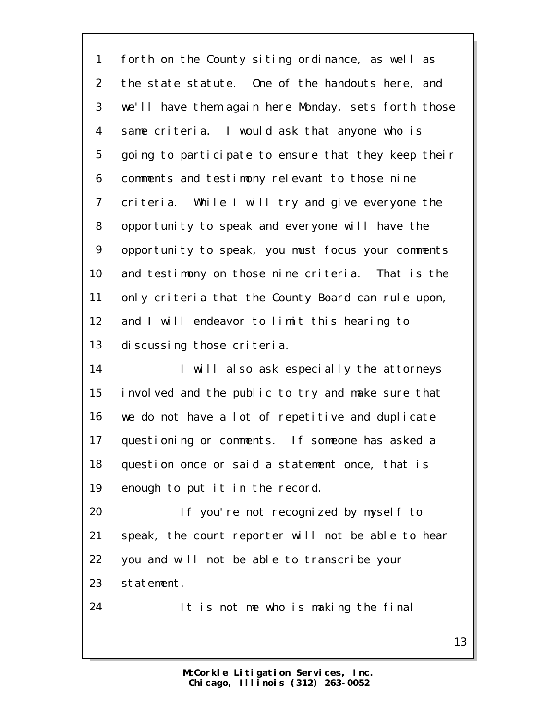forth on the County siting ordinance, as well as the state statute. One of the handouts here, and we'll have them again here Monday, sets forth those same criteria. I would ask that anyone who is going to participate to ensure that they keep their comments and testimony relevant to those nine criteria. While I will try and give everyone the opportunity to speak and everyone will have the opportunity to speak, you must focus your comments and testimony on those nine criteria. That is the 11 only criteria that the County Board can rule upon, 12 and I will endeavor to limit this hearing to 13 discussing those criteria.

14 I will also ask especially the attorneys involved and the public to try and make sure that we do not have a lot of repetitive and duplicate questioning or comments. If someone has asked a question once or said a statement once, that is enough to put it in the record.

 If you're not recognized by myself to speak, the court reporter will not be able to hear you and will not be able to transcribe your statement.

It is not me who is making the final

**Chicago, Illinois (312) 263-0052 McCorkle Litigation Services, Inc.**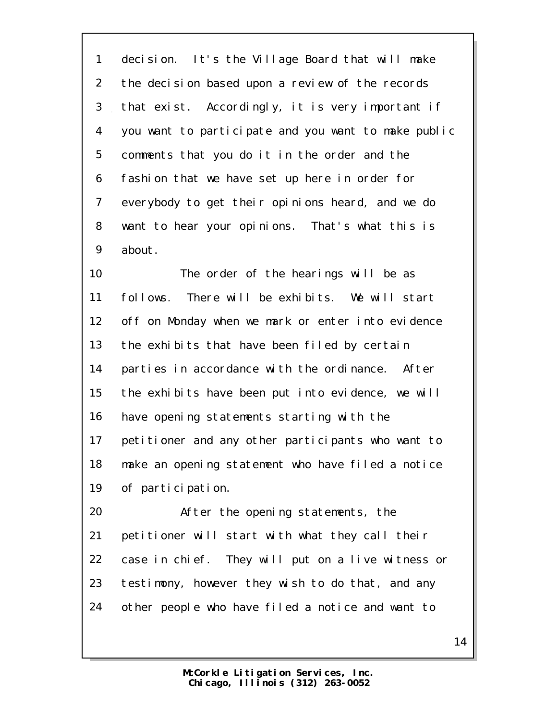decision. It's the Village Board that will make the decision based upon a review of the records that exist. Accordingly, it is very important if you want to participate and you want to make public comments that you do it in the order and the fashion that we have set up here in order for everybody to get their opinions heard, and we do want to hear your opinions. That's what this is about.

 The order of the hearings will be as follows. There will be exhibits. We will start off on Monday when we mark or enter into evidence 13 the exhibits that have been filed by certain parties in accordance with the ordinance. After the exhibits have been put into evidence, we will have opening statements starting with the 17 petitioner and any other participants who want to make an opening statement who have filed a notice of participation.

 After the opening statements, the petitioner will start with what they call their case in chief. They will put on a live witness or testimony, however they wish to do that, and any other people who have filed a notice and want to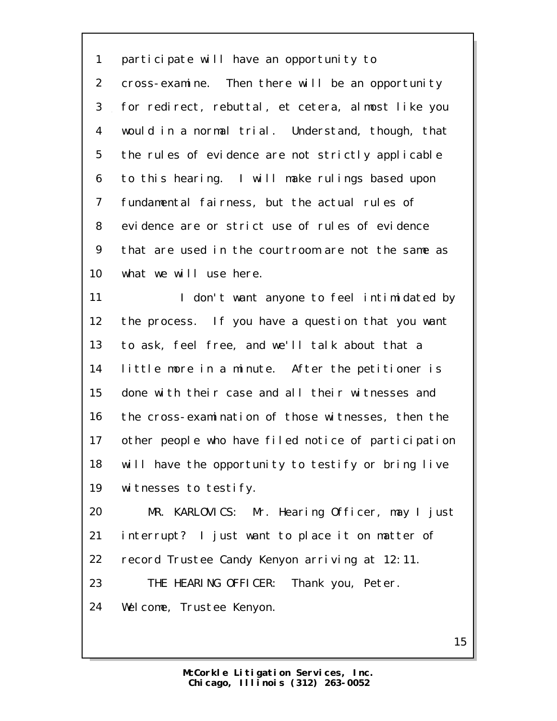participate will have an opportunity to cross-examine. Then there will be an opportunity for redirect, rebuttal, et cetera, almost like you would in a normal trial. Understand, though, that the rules of evidence are not strictly applicable to this hearing. I will make rulings based upon fundamental fairness, but the actual rules of evidence are or strict use of rules of evidence that are used in the courtroom are not the same as what we will use here.

11 I don't want anyone to feel intimidated by the process. If you have a question that you want to ask, feel free, and we'll talk about that a little more in a minute. After the petitioner is done with their case and all their witnesses and the cross-examination of those witnesses, then the other people who have filed notice of participation will have the opportunity to testify or bring live witnesses to testify.

 MR. KARLOVICS: Mr. Hearing Officer, may I just interrupt? I just want to place it on matter of record Trustee Candy Kenyon arriving at 12:11. THE HEARING OFFICER: Thank you, Peter.

Welcome, Trustee Kenyon.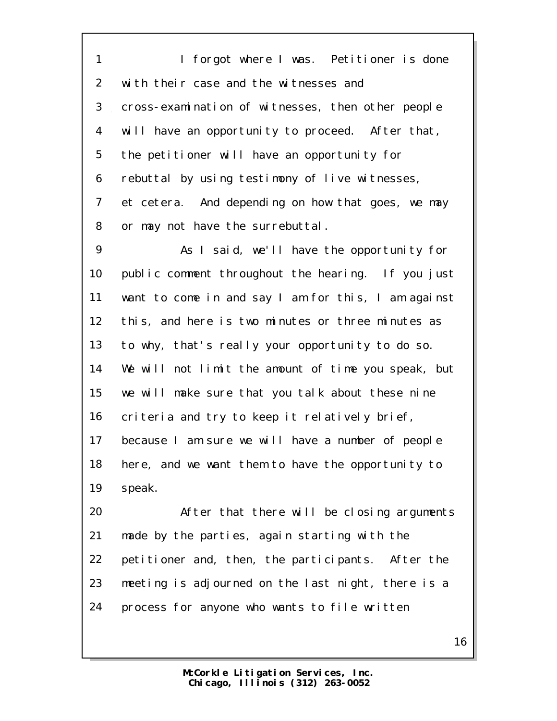1 I forgot where I was. Petitioner is done with their case and the witnesses and cross-examination of witnesses, then other people will have an opportunity to proceed. After that, the petitioner will have an opportunity for rebuttal by using testimony of live witnesses, et cetera. And depending on how that goes, we may or may not have the surrebuttal.

 As I said, we'll have the opportunity for public comment throughout the hearing. If you just want to come in and say I am for this, I am against this, and here is two minutes or three minutes as to why, that's really your opportunity to do so. We will not limit the amount of time you speak, but we will make sure that you talk about these nine criteria and try to keep it relatively brief, because I am sure we will have a number of people here, and we want them to have the opportunity to speak.

 After that there will be closing arguments made by the parties, again starting with the petitioner and, then, the participants. After the meeting is adjourned on the last night, there is a process for anyone who wants to file written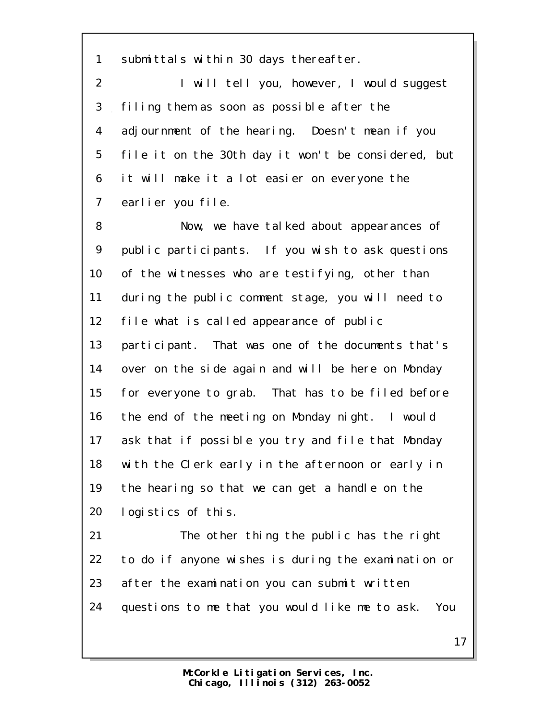submittals within 30 days thereafter.

 I will tell you, however, I would suggest filing them as soon as possible after the adjournment of the hearing. Doesn't mean if you file it on the 30th day it won't be considered, but it will make it a lot easier on everyone the earlier you file.

 Now, we have talked about appearances of public participants. If you wish to ask questions 10 of the witnesses who are testifying, other than during the public comment stage, you will need to file what is called appearance of public participant. That was one of the documents that's over on the side again and will be here on Monday for everyone to grab. That has to be filed before the end of the meeting on Monday night. I would ask that if possible you try and file that Monday with the Clerk early in the afternoon or early in the hearing so that we can get a handle on the logistics of this.

 The other thing the public has the right to do if anyone wishes is during the examination or after the examination you can submit written questions to me that you would like me to ask. You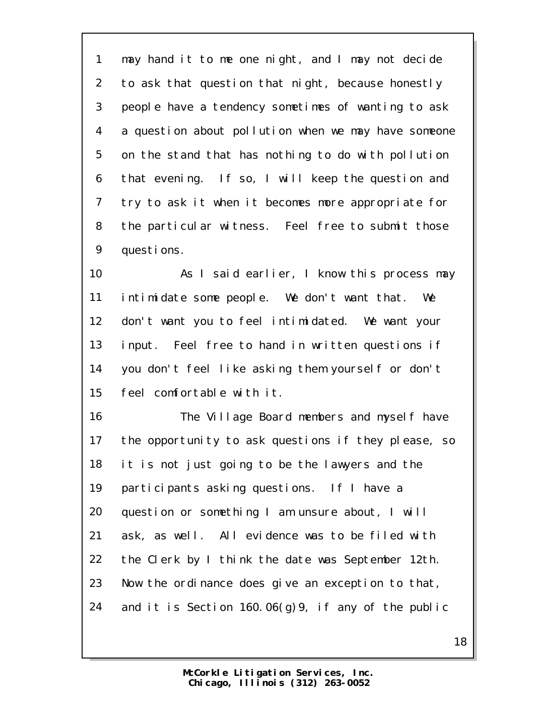may hand it to me one night, and I may not decide to ask that question that night, because honestly people have a tendency sometimes of wanting to ask a question about pollution when we may have someone on the stand that has nothing to do with pollution that evening. If so, I will keep the question and try to ask it when it becomes more appropriate for the particular witness. Feel free to submit those questions.

 As I said earlier, I know this process may intimidate some people. We don't want that. We don't want you to feel intimidated. We want your input. Feel free to hand in written questions if you don't feel like asking them yourself or don't feel comfortable with it.

16 The Village Board members and myself have the opportunity to ask questions if they please, so it is not just going to be the lawyers and the 19 participants asking questions. If I have a question or something I am unsure about, I will ask, as well. All evidence was to be filed with the Clerk by I think the date was September 12th. Now the ordinance does give an exception to that, and it is Section 160.06(g)9, if any of the public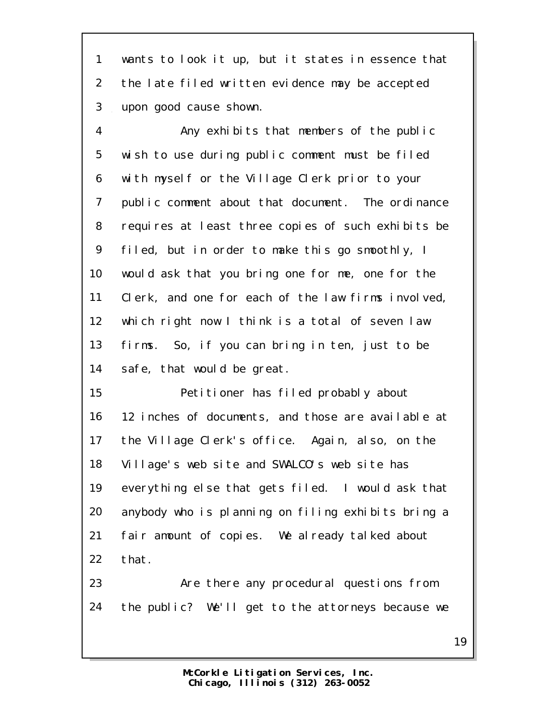wants to look it up, but it states in essence that the late filed written evidence may be accepted upon good cause shown.

 Any exhibits that members of the public wish to use during public comment must be filed with myself or the Village Clerk prior to your public comment about that document. The ordinance requires at least three copies of such exhibits be filed, but in order to make this go smoothly, I would ask that you bring one for me, one for the Clerk, and one for each of the law firms involved, which right now I think is a total of seven law firms. So, if you can bring in ten, just to be safe, that would be great.

 Petitioner has filed probably about 12 inches of documents, and those are available at the Village Clerk's office. Again, also, on the Village's web site and SWALCO's web site has everything else that gets filed. I would ask that anybody who is planning on filing exhibits bring a fair amount of copies. We already talked about that.

 Are there any procedural questions from the public? We'll get to the attorneys because we

> **Chicago, Illinois (312) 263-0052 McCorkle Litigation Services, Inc.**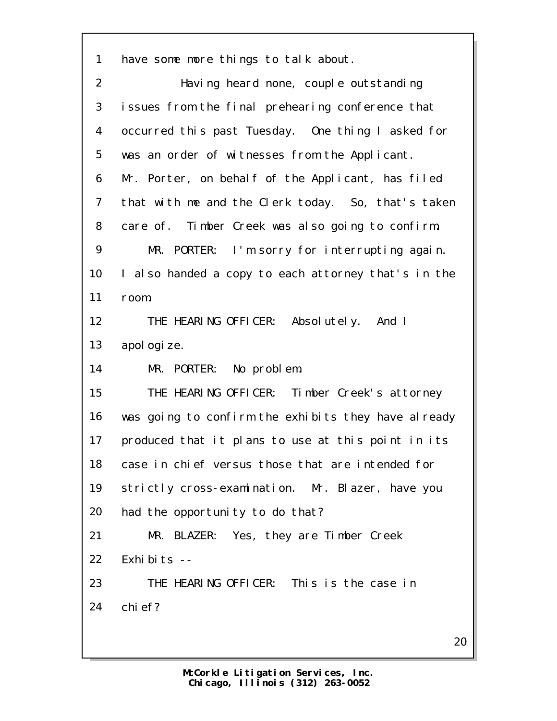have some more things to talk about.

| $\overline{2}$ | Having heard none, couple outstanding               |
|----------------|-----------------------------------------------------|
| 3              | issues from the final prehearing conference that    |
| 4              | occurred this past Tuesday. One thing I asked for   |
| 5              | was an order of witnesses from the Applicant.       |
| 6              | Mr. Porter, on behalf of the Applicant, has filed   |
| $\overline{7}$ | that with me and the Clerk today. So, that's taken  |
| 8              | care of. Timber Creek was also going to confirm.    |
| 9              | MR. PORTER: I'm sorry for interrupting again.       |
| 10             | I also handed a copy to each attorney that's in the |
| 11             | room.                                               |
| 12             | THE HEARING OFFICER: Absolutely. And I              |
| 13             | apol ogi ze.                                        |
| 14             | MR. PORTER: No problem.                             |
| 15             | THE HEARING OFFICER: Timber Creek's attorney        |
| 16             | was going to confirm the exhibits they have already |
| 17             | produced that it plans to use at this point in its  |
| 18             | case in chief versus those that are intended for    |
| 19             | strictly cross-examination. Mr. Blazer, have you    |
| 20             | had the opportunity to do that?                     |
| 21             | MR. BLAZER: Yes, they are Timber Creek              |
| 22             | Exhibits --                                         |
| 23             | THE HEARING OFFICER: This is the case in            |
| 24             | chi ef?                                             |
|                |                                                     |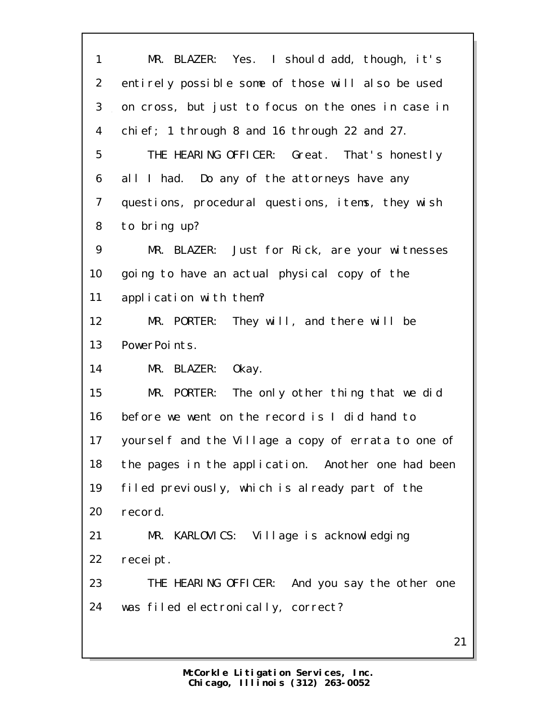| 1              | MR. BLAZER: Yes. I should add, though, it's         |
|----------------|-----------------------------------------------------|
| $\overline{2}$ | entirely possible some of those will also be used   |
| 3              | on cross, but just to focus on the ones in case in  |
| 4              | chi ef; 1 through 8 and 16 through 22 and 27.       |
| 5              | THE HEARING OFFICER: Great. That's honestly         |
| 6              | all I had. Do any of the attorneys have any         |
| $\overline{7}$ | questions, procedural questions, items, they wish   |
| 8              | to bring up?                                        |
| 9              | MR. BLAZER: Just for Rick, are your witnesses       |
| 10             | going to have an actual physical copy of the        |
| 11             | application with them?                              |
| 12             | MR. PORTER: They will, and there will be            |
| 13             | PowerPoints.                                        |
| 14             | MR. BLAZER:<br>0kay.                                |
| 15             | MR. PORTER: The only other thing that we did        |
| 16             | before we went on the record is I did hand to       |
| 17             | yourself and the Village a copy of errata to one of |
| 18             | the pages in the application. Another one had been  |
| 19             | filed previously, which is already part of the      |
| 20             | record.                                             |
| 21             | MR. KARLOVICS: Village is acknowledging             |
| 22             | recei pt.                                           |
| 23             | THE HEARING OFFICER: And you say the other one      |
| 24             | was filed electronically, correct?                  |
|                |                                                     |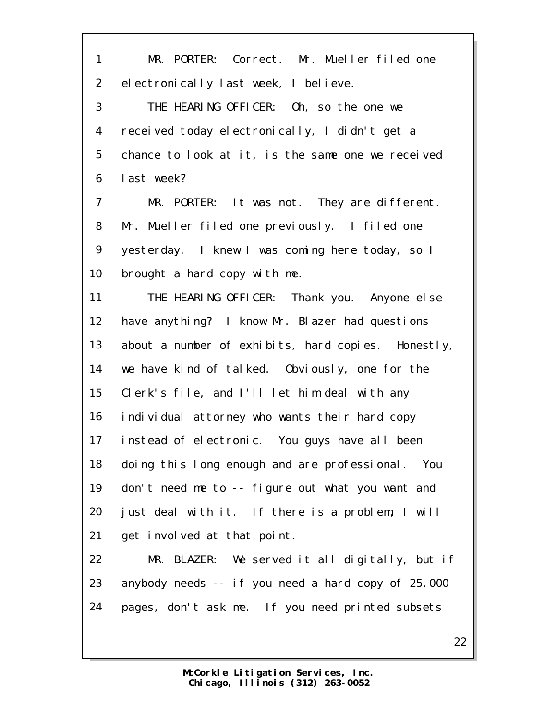MR. PORTER: Correct. Mr. Mueller filed one electronically last week, I believe. THE HEARING OFFICER: Oh, so the one we received today electronically, I didn't get a chance to look at it, is the same one we received last week? MR. PORTER: It was not. They are different. Mr. Mueller filed one previously. I filed one yesterday. I knew I was coming here today, so I brought a hard copy with me. THE HEARING OFFICER: Thank you. Anyone else have anything? I know Mr. Blazer had questions 13 about a number of exhibits, hard copies. Honestly, we have kind of talked. Obviously, one for the Clerk's file, and I'll let him deal with any individual attorney who wants their hard copy instead of electronic. You guys have all been doing this long enough and are professional. You don't need me to -- figure out what you want and just deal with it. If there is a problem, I will get involved at that point. MR. BLAZER: We served it all digitally, but if anybody needs -- if you need a hard copy of 25,000 pages, don't ask me. If you need printed subsets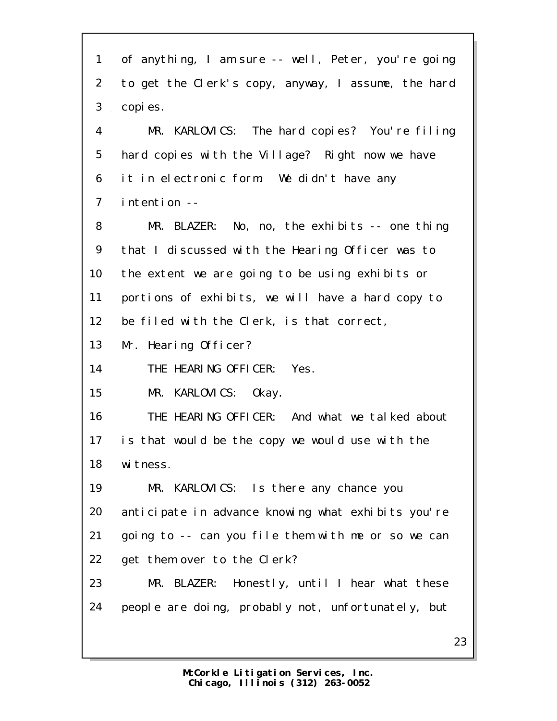| $\mathbf{1}$   | of anything, I am sure -- well, Peter, you're going |
|----------------|-----------------------------------------------------|
| $\overline{2}$ | to get the Clerk's copy, anyway, I assume, the hard |
| 3              | copi es.                                            |
| 4              | MR. KARLOVICS: The hard copies? You're filing       |
| 5              | hard copies with the Village? Right now we have     |
| 6              | it in electronic form. We didn't have any           |
| $\overline{7}$ | intention --                                        |
| 8              | $MR.$ BLAZER: No, no, the exhibits -- one thing     |
| 9              | that I discussed with the Hearing Officer was to    |
| 10             | the extent we are going to be using exhibits or     |
| 11             | portions of exhibits, we will have a hard copy to   |
| 12             | be filed with the Clerk, is that correct,           |
| 13             | Mr. Hearing Officer?                                |
| 14             | THE HEARING OFFICER: Yes.                           |
| 15             | MR. KARLOVICS: Okay.                                |
| 16             | THE HEARING OFFICER: And what we talked about       |
| 17             | is that would be the copy we would use with the     |
| 18             | wi tness.                                           |
| 19             | MR. KARLOVICS: Is there any chance you              |
| 20             | anticipate in advance knowing what exhibits you're  |
| 21             | going to -- can you file them with me or so we can  |
| 22             | get them over to the Clerk?                         |
| 23             | MR. BLAZER: Honestly, until I hear what these       |
| 24             | people are doing, probably not, unfortunately, but  |
|                | 23                                                  |
|                |                                                     |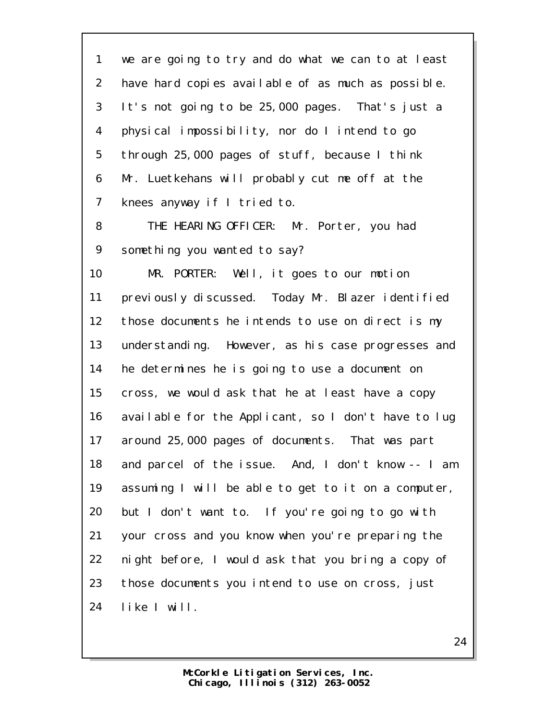we are going to try and do what we can to at least have hard copies available of as much as possible. It's not going to be 25,000 pages. That's just a physical impossibility, nor do I intend to go through 25,000 pages of stuff, because I think Mr. Luetkehans will probably cut me off at the 7 knees anyway if I tried to.

 THE HEARING OFFICER: Mr. Porter, you had something you wanted to say?

 MR. PORTER: Well, it goes to our motion previously discussed. Today Mr. Blazer identified those documents he intends to use on direct is my understanding. However, as his case progresses and he determines he is going to use a document on cross, we would ask that he at least have a copy available for the Applicant, so I don't have to lug around 25,000 pages of documents. That was part and parcel of the issue. And, I don't know -- I am assuming I will be able to get to it on a computer, but I don't want to. If you're going to go with your cross and you know when you're preparing the night before, I would ask that you bring a copy of those documents you intend to use on cross, just like I will.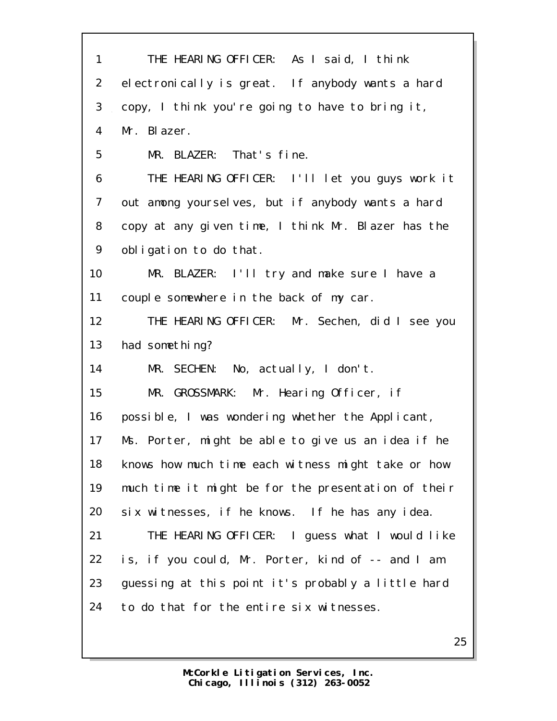THE HEARING OFFICER: As I said, I think electronically is great. If anybody wants a hard copy, I think you're going to have to bring it, Mr. Blazer. MR. BLAZER: That's fine. THE HEARING OFFICER: I'll let you guys work it out among yourselves, but if anybody wants a hard copy at any given time, I think Mr. Blazer has the obligation to do that. MR. BLAZER: I'll try and make sure I have a couple somewhere in the back of my car. THE HEARING OFFICER: Mr. Sechen, did I see you 13 had something? MR. SECHEN: No, actually, I don't. MR. GROSSMARK: Mr. Hearing Officer, if possible, I was wondering whether the Applicant, Ms. Porter, might be able to give us an idea if he knows how much time each witness might take or how much time it might be for the presentation of their six witnesses, if he knows. If he has any idea. THE HEARING OFFICER: I guess what I would like is, if you could, Mr. Porter, kind of -- and I am guessing at this point it's probably a little hard to do that for the entire six witnesses.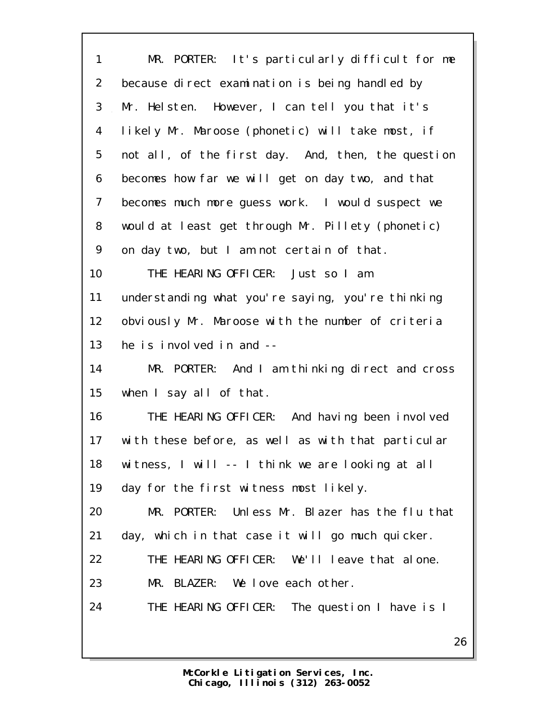| $\mathbf{1}$   | MR. PORTER: It's particularly difficult for me     |
|----------------|----------------------------------------------------|
| $\overline{2}$ | because direct examination is being handled by     |
| 3              | Mr. Helsten. However, I can tell you that it's     |
| 4              | likely Mr. Maroose (phonetic) will take most, if   |
| 5              | not all, of the first day. And, then, the question |
| 6              | becomes how far we will get on day two, and that   |
| $\overline{7}$ | becomes much more guess work. I would suspect we   |
| 8              | would at least get through Mr. Pillety (phonetic)  |
| 9              | on day two, but I am not certain of that.          |
| 10             | THE HEARING OFFICER: Just so I am                  |
| 11             | understanding what you're saying, you're thinking  |
| 12             | obviously Mr. Maroose with the number of criteria  |
| 13             | he is involved in and --                           |
| 14             | MR. PORTER: And I am thinking direct and cross     |
| 15             | when I say all of that.                            |
| 16             | THE HEARING OFFICER: And having been involved      |
| 17             | with these before, as well as with that particular |
| 18             | witness, I will -- I think we are looking at all   |
| 19             | day for the first witness most likely.             |
| 20             | MR. PORTER: Unless Mr. Blazer has the flu that     |
| 21             | day, which in that case it will go much quicker.   |
| 22             | THE HEARING OFFICER: We'll leave that alone.       |
| 23             | MR. BLAZER: We love each other.                    |
| 24             | THE HEARING OFFICER: The question I have is I      |
|                | 26                                                 |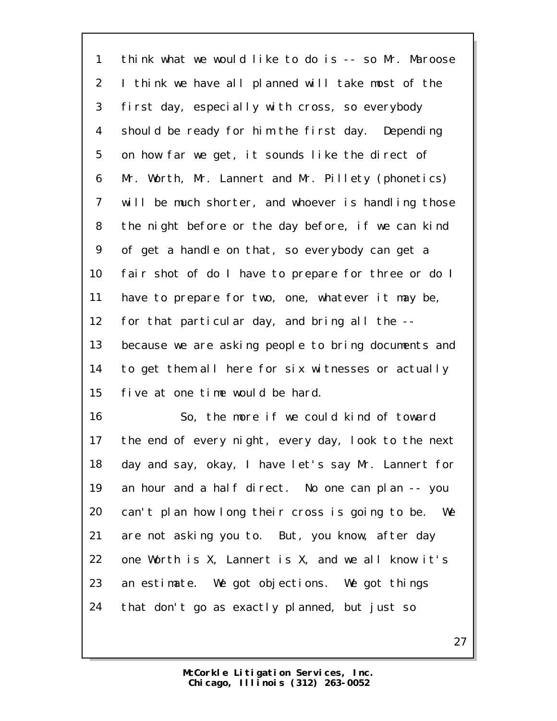think what we would like to do is -- so Mr. Maroose I think we have all planned will take most of the first day, especially with cross, so everybody should be ready for him the first day. Depending on how far we get, it sounds like the direct of Mr. Worth, Mr. Lannert and Mr. Pillety (phonetics) will be much shorter, and whoever is handling those the night before or the day before, if we can kind of get a handle on that, so everybody can get a fair shot of do I have to prepare for three or do I have to prepare for two, one, whatever it may be, for that particular day, and bring all the -- because we are asking people to bring documents and to get them all here for six witnesses or actually five at one time would be hard.

 So, the more if we could kind of toward the end of every night, every day, look to the next day and say, okay, I have let's say Mr. Lannert for an hour and a half direct. No one can plan -- you can't plan how long their cross is going to be. We are not asking you to. But, you know, after day one Worth is X, Lannert is X, and we all know it's an estimate. We got objections. We got things that don't go as exactly planned, but just so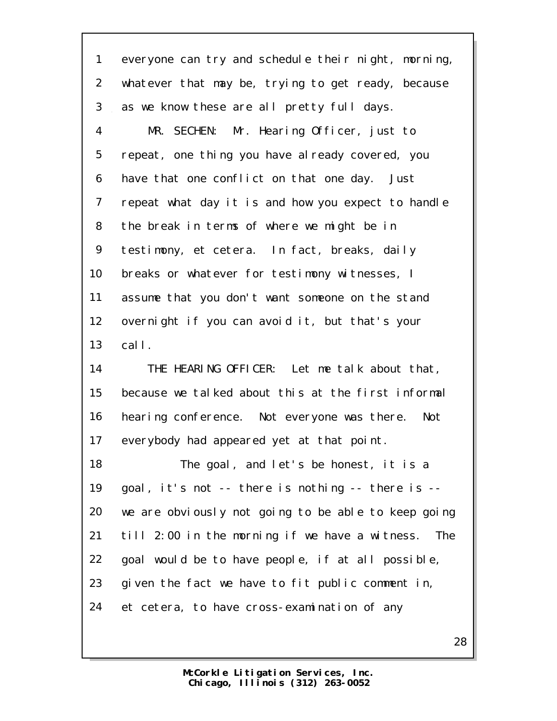everyone can try and schedule their night, morning, whatever that may be, trying to get ready, because as we know these are all pretty full days. MR. SECHEN: Mr. Hearing Officer, just to repeat, one thing you have already covered, you have that one conflict on that one day. Just repeat what day it is and how you expect to handle the break in terms of where we might be in testimony, et cetera. In fact, breaks, daily breaks or whatever for testimony witnesses, I assume that you don't want someone on the stand overnight if you can avoid it, but that's your call. THE HEARING OFFICER: Let me talk about that, because we talked about this at the first informal hearing conference. Not everyone was there. Not everybody had appeared yet at that point. The goal, and let's be honest, it is a goal, it's not -- there is nothing -- there is -- we are obviously not going to be able to keep going till 2:00 in the morning if we have a witness. The goal would be to have people, if at all possible, given the fact we have to fit public comment in, et cetera, to have cross-examination of any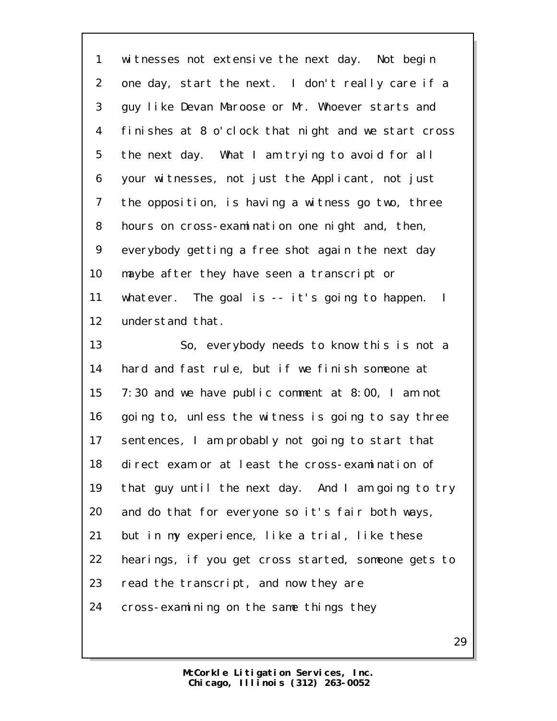witnesses not extensive the next day. Not begin one day, start the next. I don't really care if a guy like Devan Maroose or Mr. Whoever starts and finishes at 8 o'clock that night and we start cross the next day. What I am trying to avoid for all your witnesses, not just the Applicant, not just the opposition, is having a witness go two, three hours on cross-examination one night and, then, everybody getting a free shot again the next day maybe after they have seen a transcript or whatever. The goal is -- it's going to happen. I understand that. So, everybody needs to know this is not a hard and fast rule, but if we finish someone at 7:30 and we have public comment at 8:00, I am not going to, unless the witness is going to say three sentences, I am probably not going to start that direct exam or at least the cross-examination of that guy until the next day. And I am going to try and do that for everyone so it's fair both ways, but in my experience, like a trial, like these hearings, if you get cross started, someone gets to read the transcript, and now they are cross-examining on the same things they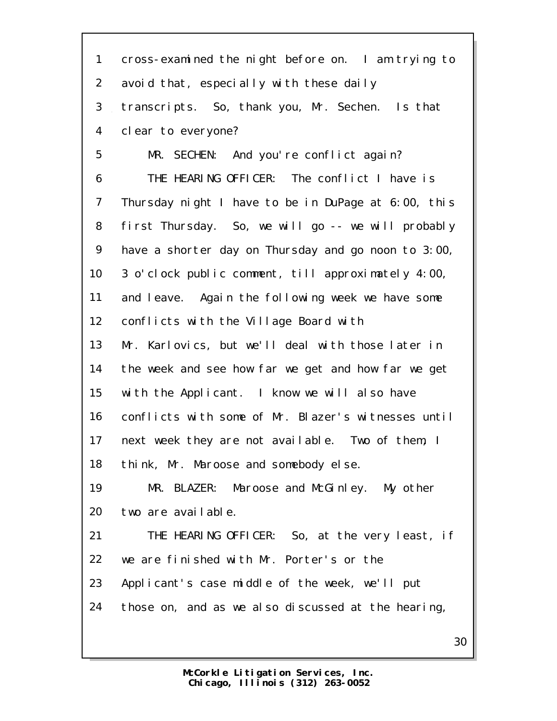| $\mathbf{1}$    | cross-examined the night before on. I am trying to  |
|-----------------|-----------------------------------------------------|
| $\overline{2}$  | avoid that, especially with these daily             |
| 3               | transcripts. So, thank you, Mr. Sechen. Is that     |
| 4               | clear to everyone?                                  |
| 5               | MR. SECHEN: And you're conflict again?              |
| 6               | THE HEARING OFFICER: The conflict I have is         |
| $\overline{7}$  | Thursday night I have to be in DuPage at 6:00, this |
| 8               | first Thursday. So, we will go -- we will probably  |
| 9               | have a shorter day on Thursday and go noon to 3:00, |
| 10 <sup>°</sup> | 3 o'clock public comment, till approximately 4:00,  |
| 11              | and leave. Again the following week we have some    |
| 12              | conflicts with the Village Board with               |
| 13              | Mr. Karlovics, but we'll deal with those later in   |
| 14              | the week and see how far we get and how far we get  |
| 15              | with the Applicant. I know we will also have        |
| 16              | conflicts with some of Mr. Blazer's witnesses until |
| 17              | next week they are not available. Two of them, I    |
| 18              | think, Mr. Maroose and somebody else.               |
| 19              | MR. BLAZER: Maroose and McGinley. My other          |
| 20              | two are available.                                  |
| 21              | THE HEARING OFFICER: So, at the very least, if      |
| 22              | we are finished with Mr. Porter's or the            |
| 23              | Applicant's case middle of the week, we'll put      |
| 24              | those on, and as we also discussed at the hearing,  |
|                 | 30                                                  |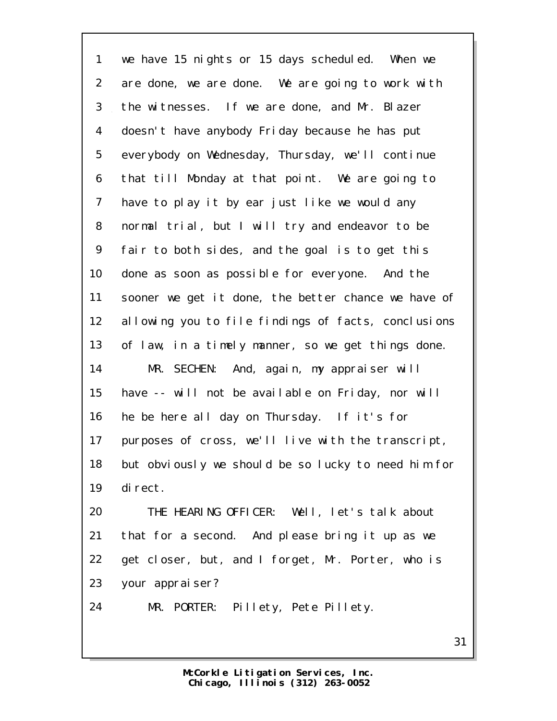we have 15 nights or 15 days scheduled. When we are done, we are done. We are going to work with the witnesses. If we are done, and Mr. Blazer doesn't have anybody Friday because he has put everybody on Wednesday, Thursday, we'll continue that till Monday at that point. We are going to have to play it by ear just like we would any normal trial, but I will try and endeavor to be fair to both sides, and the goal is to get this done as soon as possible for everyone. And the sooner we get it done, the better chance we have of allowing you to file findings of facts, conclusions of law, in a timely manner, so we get things done. MR. SECHEN: And, again, my appraiser will have -- will not be available on Friday, nor will he be here all day on Thursday. If it's for purposes of cross, we'll live with the transcript, but obviously we should be so lucky to need him for direct. THE HEARING OFFICER: Well, let's talk about that for a second. And please bring it up as we get closer, but, and I forget, Mr. Porter, who is

your appraiser?

MR. PORTER: Pillety, Pete Pillety.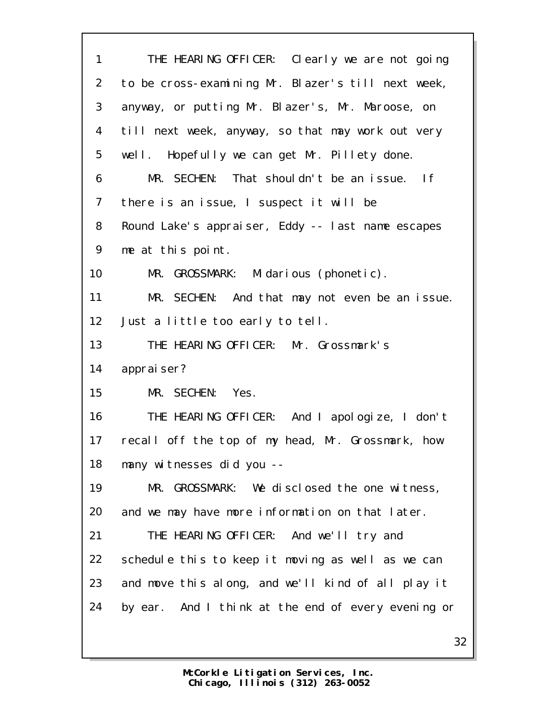| $\mathbf{1}$   | THE HEARING OFFICER: Clearly we are not going      |
|----------------|----------------------------------------------------|
| $\overline{2}$ | to be cross-examining Mr. Blazer's till next week, |
| 3              | anyway, or putting Mr. Blazer's, Mr. Maroose, on   |
| 4              | till next week, anyway, so that may work out very  |
| 5              | well. Hopefully we can get Mr. Pillety done.       |
| 6              | MR. SECHEN: That shouldn't be an issue. If         |
| 7              | there is an issue, I suspect it will be            |
| 8              | Round Lake's appraiser, Eddy -- last name escapes  |
| 9              | me at this point.                                  |
| 10             | MR. GROSSMARK: Midarious (phonetic).               |
| 11             | MR. SECHEN: And that may not even be an issue.     |
| 12             | Just a little too early to tell.                   |
| 13             | THE HEARING OFFICER: Mr. Grossmark's               |
| 14             | appraiser?                                         |
| 15             | MR. SECHEN: Yes.                                   |
| 16             | THE HEARING OFFICER: And I apologize, I don't      |
| 17             | recall off the top of my head, Mr. Grossmark, how  |
| 18             | many witnesses did you --                          |
| 19             | MR. GROSSMARK: We disclosed the one witness,       |
| 20             | and we may have more information on that later.    |
| 21             | THE HEARING OFFICER: And we'll try and             |
| 22             | schedule this to keep it moving as well as we can  |
| 23             | and move this along, and we'll kind of all play it |
| 24             | by ear. And I think at the end of every evening or |
|                | 32                                                 |
|                |                                                    |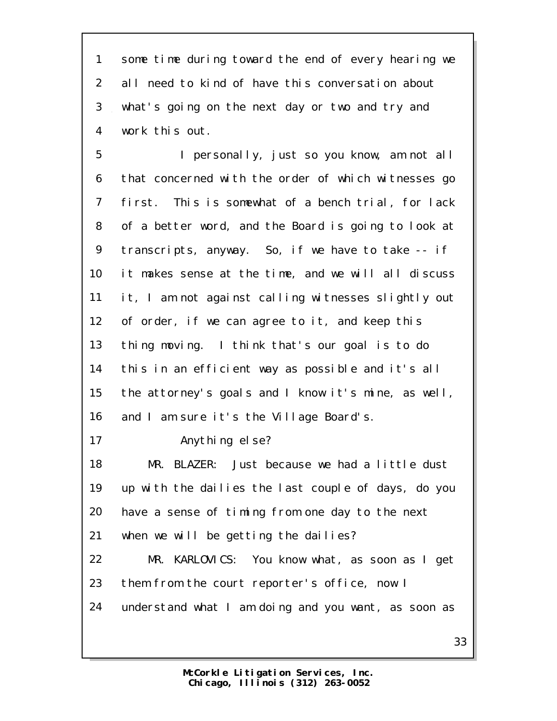some time during toward the end of every hearing we all need to kind of have this conversation about what's going on the next day or two and try and work this out.

 I personally, just so you know, am not all that concerned with the order of which witnesses go first. This is somewhat of a bench trial, for lack of a better word, and the Board is going to look at transcripts, anyway. So, if we have to take -- if it makes sense at the time, and we will all discuss it, I am not against calling witnesses slightly out of order, if we can agree to it, and keep this thing moving. I think that's our goal is to do this in an efficient way as possible and it's all the attorney's goals and I know it's mine, as well, 16 and I am sure it's the Village Board's. 17 Anything else? MR. BLAZER: Just because we had a little dust up with the dailies the last couple of days, do you have a sense of timing from one day to the next when we will be getting the dailies?

 MR. KARLOVICS: You know what, as soon as I get them from the court reporter's office, now I understand what I am doing and you want, as soon as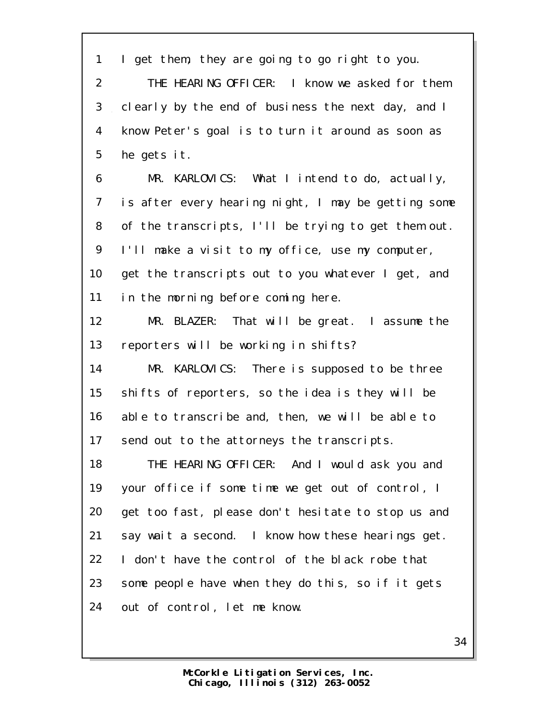| 1              | I get them, they are going to go right to you.      |
|----------------|-----------------------------------------------------|
| $\overline{2}$ | THE HEARING OFFICER: I know we asked for them       |
| 3              | clearly by the end of business the next day, and I  |
| 4              | know Peter's goal is to turn it around as soon as   |
| 5              | he gets it.                                         |
| 6              | MR. KARLOVICS: What I intend to do, actually,       |
| $\overline{7}$ | is after every hearing night, I may be getting some |
| 8              | of the transcripts, I'll be trying to get them out. |
| 9              | I'll make a visit to my office, use my computer,    |
| 10             | get the transcripts out to you whatever I get, and  |
| 11             | in the morning before coming here.                  |
| 12             | MR. BLAZER: That will be great. I assume the        |
| 13             | reporters will be working in shifts?                |
| 14             | MR. KARLOVICS: There is supposed to be three        |
| 15             | shifts of reporters, so the idea is they will be    |
| 16             | able to transcribe and, then, we will be able to    |
| 17             | send out to the attorneys the transcripts.          |
| 18             | THE HEARING OFFICER: And I would ask you and        |
| 19             | your office if some time we get out of control, I   |
| 20             | get too fast, please don't hesitate to stop us and  |
| 21             | say wait a second. I know how these hearings get.   |
| 22             | I don't have the control of the black robe that     |
| 23             | some people have when they do this, so if it gets   |
| 24             | out of control, let me know.                        |
|                |                                                     |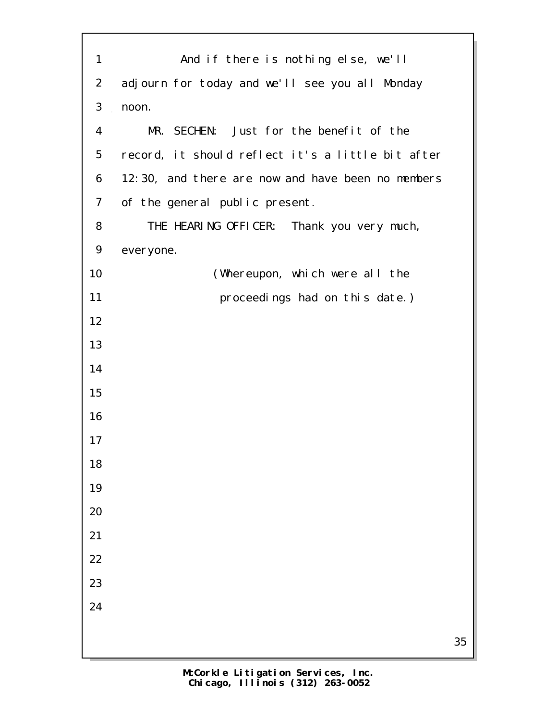| $\mathbf{1}$   | And if there is nothing else, we'll               |    |
|----------------|---------------------------------------------------|----|
| $\overline{2}$ | adjourn for today and we'll see you all Monday    |    |
| 3              | noon.                                             |    |
| 4              | MR. SECHEN: Just for the benefit of the           |    |
| 5              | record, it should reflect it's a little bit after |    |
| 6              | 12:30, and there are now and have been no members |    |
| $\overline{7}$ | of the general public present.                    |    |
| 8              | THE HEARING OFFICER: Thank you very much,         |    |
| 9              | everyone.                                         |    |
| 10             | (Whereupon, which were all the                    |    |
| 11             | proceedings had on this date.)                    |    |
| 12             |                                                   |    |
| 13             |                                                   |    |
| 14             |                                                   |    |
| 15             |                                                   |    |
| 16             |                                                   |    |
| 17             |                                                   |    |
| 18             |                                                   |    |
| 19             |                                                   |    |
| 20             |                                                   |    |
| 21             |                                                   |    |
| 22             |                                                   |    |
| 23             |                                                   |    |
| 24             |                                                   |    |
|                |                                                   | 35 |
|                |                                                   |    |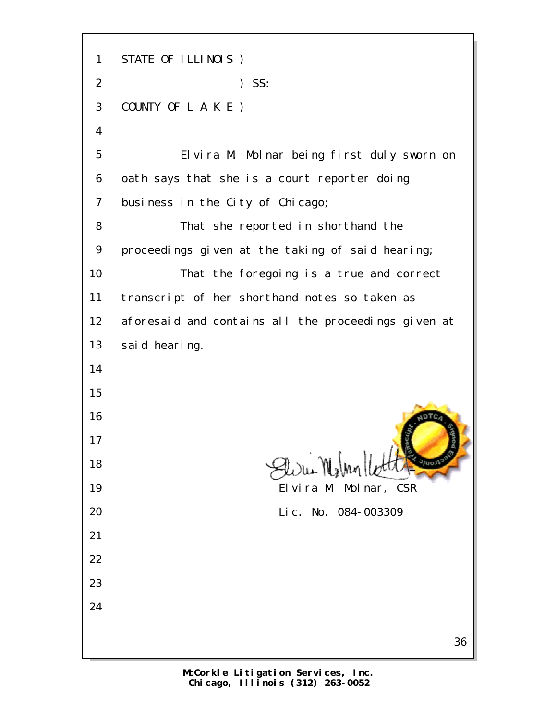STATE OF ILLINOIS ) ) SS: COUNTY OF L A K E ) Elvira M. Molnar being first duly sworn on oath says that she is a court reporter doing business in the City of Chicago; That she reported in shorthand the proceedings given at the taking of said hearing; That the foregoing is a true and correct transcript of her shorthand notes so taken as aforesaid and contains all the proceedings given at said hearing.  $9)$   $\mathcal{A}$   $\mathcal{A}$  Elvira M. Molnar, CSR Lic. No. 084-003309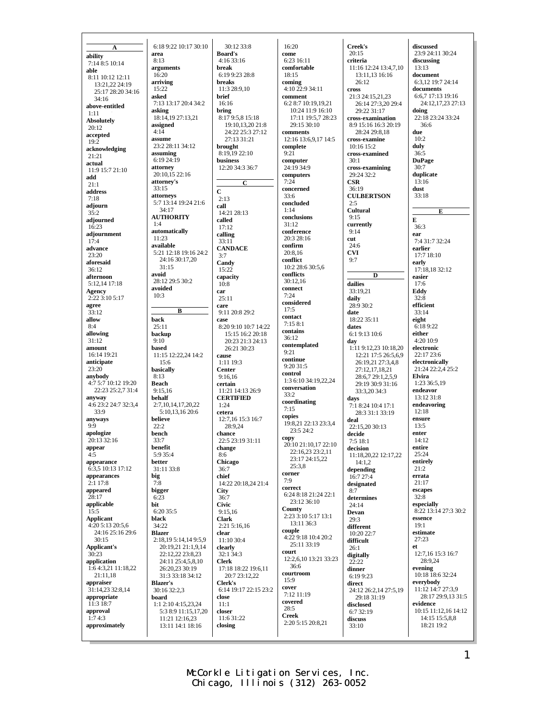**A ability** 7:14 8:5 10:14 **able** 8:11 10:12 12:11 13:21,22 24:19 25:17 28:20 34:16  $34.16$ **above-entitled** 1:11 **Absolutely** 20:12 **accepted** 19:2 **acknowledging** 21:21 **actual** 11:9 15:7 21:10 **add**  $21 \cdot 1$ **address** 7:18 **adjourn**  $35.2$ **adjourned** 16:23 **adjournment** 17:4 **advance** 23:20 **aforesaid**  $36:12$ **afternoon** 5:12,14 17:18 **Agency** 2:22 3:10 5:17 **agree**  $33.12$ **allow** 8:4 **allowing** 31:12 **amount** 16:14 19:21 **anticipate**  $23.20$ **anybody** 4:7 5:7 10:12 19:20 22:23 25:2,7 31:4 **anyway** 4:6 23:2 24:7 32:3,4 33:9 **anyways** 9:9 **apologize**  $20:13$  32:16 **appear**  $4.5$ **appearance** 6:3,5 10:13 17:12 **appearances**  $2:1$  17:8 **appeared** 28:17 **applicable** 15:5 **Applicant** 4:20 5:13 20:5 $6$ 24:16 25:16 29:6 30:15 **Applicant's** 30:23 **application** 1:6 4:3,21 11:18,22  $21 \cdot 11$ ,18 **appraiser**  $31 \cdot 14$  23 32:8,14 **appropriate** 11:3 18:7 **approval**  $1:74:3$ **approximately** 6:18 9:22 10:17 30:10 **area** 8:13 **arguments** 16:20 **arriving** 15:22 **asked** 7:13 13:17 20:4 34:2 **asking** 18:14,19 27:13,21 **assigned**  $4.14$ **assume** 23:2 28:11 34:12 **assuming**  $6.1924\overline{1}9$ **attorney** 20:10,15 22:16 **attorney's** 33:15 **attorneys** 5:7 13:14 19:24 21:6 34:17 **AUTHORITY** 1:4 **automatically** 11:23 **available** 5:21 12:18 19:16 24:2 24:16 30:17,20 31:15 **avoid** 28:12 29:5 30:2 **avoided** 10:3 **back** 25:11 **backup** 9:10 **based** 11:15 12:22,24 14:2 15:6 **basically** 8:13 **Beach**  $9.15,16$ **behalf** 2:7,10,14,17,20,22 5:10,13,16 20:6 **believe** 22:2 **bench** 33:7 **benefit** 5:9 35:4 **better** 31:11 33:8 **big** 7:8 **bigger** 6:23 **bit** 6:20 35:5 **black**  $34.22$ **Blazer** 2:18,19 5:14,14 9:5,9  $20:19.21.21:19.14$ 22:12,22 23:8,23 24:11 25:4,5,8,10 26:20,23 30:19 31:3 33:18 34:12 **Blazer's** 30:16 32:2,3 **board** 1:1 2:10 4:15,23,24 5:3 8:9 11:15,17,20 11:21 12:16,23 13:11 14:1 18:16

**B**

30:12 33:8 **Board's** 4:16 33:16 **break** 6:19 9:23 28:8 **breaks** 11:3 28:9,10 **brief** 16:16 **bring**  $8:179.5815.18$ 19:10,13,20 21:8 24:22 25:3 27:12 27:13 31:21 **brought** 8:19,19 22:10 **business** 12:20 34:3 36:7 **C C**  $2.13$ **call** 14:21 28:13 **called**  $17:12$ **calling** 33:11 **CANDACE** 3:7 **Candy** 15:22 **capacity**  $10.8$ **car** 25:11 **care** 9:11 20:8 29:2 **case** 8:20 9:10 10:7 14:22 15:15 16:2 20:18 20:23 21:3 24:13 26:21 30:23 **cause** 1:11 19:3 **Center** 9:16,16 **certain** 11:21 14:13 26:9 **CERTIFIED**  $1.24$ **cetera** 12:7,16 15:3 16:7 28:9.24 **chance** 22:5 23:19 31:11 **change** 8:6 **Chicago** 36:7 **chief** 14:22 20:18,24 21:4 **City** 36:7 **Civic** 9:15,16 **Clark** 2:21 5:16,16 **clear** 11:10 30:4 **clearly**  $32.1\,34.3$ **Clerk** 17:18 18:22 19:6,11 20:7 23:12,22 **Clerk's** 6:14 19:17 22:15 23:2 **close** 11:1 **closer** 11:6 31:22 **closing**

16:20 **come** 6:23 16:11 **comfortable** 18:15 **coming** 4:10 22:9 34:11 **comment** 6:2 8:7 10:19,19,21 10:24 11:9 16:10 17:11 19:5,7 28:23 29:15 30:10 **comments** 12:16 13:6,9,17 14:5 **complete**  $9.21$ **computer** 24:19 34:9 **computers**  $7.24$ **concerned** 33:6 **concluded** 1:14 **conclusions**  $31.12$ **conference** 20:3 28:16 **confirm** 20:8,16 **conflict** 10:2 28:6 30:5,6 **conflicts** 30:12,16 **connect** 7:24 **considered** 17:5 **contact**  $7.158.1$ **contains**  $36:12$ **contemplated** 9:21 **continue** 9:20 31:5 **control** 1:3 6:10 34:19,22,24 **conversation**  $33.2$ **coordinating** 7:15 **copies** 19:8,21 22:13 23:3,4 23:5 24:2 **copy** 20:10 21:10,17 22:10 22:16,23 23:2,11 23:17 24:15,22 25:3,8 **corner** 7:9 **correct** 6:24 8:18 21:24 22:1 23:12 36:10 **County** 2:23 3:10 5:17 13:1 13:11 36:3 **couple**  $4.2299 \cdot 1810 \cdot 420 \cdot 2$ 25:11 33:19 **court** 12:2,6,10 13:21 33:23 36:6 **courtroom** 15:9 **cover** 7:12 11:19 **covered** 28:5 **Creek** 2:20 5:15 20:8,21

**Creek's** 20:15 **criteria** 11:16 12:24 13:4,7,10 13:11,13 16:16 26:12 **cross** 21:3 24:15,21,23 26:14 27:3,20 29:4 29:22 31:17 **cross-examination** 8:9 15:16 16:3 20:19 28:24 29:8,18 **cross-examine** 10:16 15:2 **cross-examined**  $30 \cdot 1$ **cross-examining** 29:24 32:2 **CSR** 36:19 **CULBERTSON**  $2.5$ **Cultural** 9:15 **currently** 9:14 **cut** 24:6 **CVI** 9:7 **D dailies** 33:19,21 **daily** 28:9 30:2 **date** 18:22 35:11 **dates** 6:1 9:13 10:6 **day** 1:11 9:12,23 10:18,20 12:21 17:5 26:5,6,9 26:19,21 27:3,4,8 27:12,17,18,21 28:6,7 29:1,2,5,9 29:19 30:9 31:16 33:3,20 34:3 **days** 7:1 8:24 10:4 17:1 28:3 31:1 33:19 **deal**  $22 \cdot 15,20,30 \cdot 13$ **decide** 7:5 18:1 **decision** 11:18,20,22 12:17,22 14:1,2 **depending** 16:7 27:4 **designated** 8:7 **determines** 24:14 **Devan** 29:3 **different** 10:20 22:7 **difficult** 26:1 **digitally** 22:22 **dinner** 6:19 9:23 **direct** 24:12 26:2,14 27:5,19 29:18 31:19 **disclosed** 6:7 32:19 **discuss** 33:10 **E et**

**discussed** 23:9 24:11 30:24 **discussing** 13:13 **document** 6:3,12 19:7 24:14 **documents** 6:6,7 17:13 19:16 24:12,17,23 27:13 **doing** 22:18 23:24 33:24 36:6 **due** 10:2 **duly** 36:5 **DuPage**  $30.7$ **duplicate** 13:16 **dust** 33:18 **E** 36:3 **ear**  $7.431.732.24$ **earlier** 17:7 18:10 **early** 17:18,18 32:12 **easier** 17:6 **Eddy** 32:8 **efficient** 33:14 **eight** 6:18 9:22 **either**  $4.2010.9$ **electronic** 22:17 23:6 **electronically** 21:24 22:2,4 25:2 **Elvira** 1:23 36:5,19 **endeavor** 13:12 31:8 **endeavoring** 12:18 **ensure** 13:5 **enter** 14:12 **entire**  $25.24$ **entirely** 21:2 **errata** 21:17 **escapes** 32:8 **especially** 8:22 13:14 27:3 30:2 **essence**  $19.1$ **estimate**  $27.23$ 12:7,16 15:3 16:7 28:9,24 **evening** 10:18 18:6 32:24 **everybody** 11:12 14:7 27:3,9 28:17 29:9,13 31:5 **evidence** 10:15 11:12,16 14:12 14:15 15:5,8,8 18:21 19:2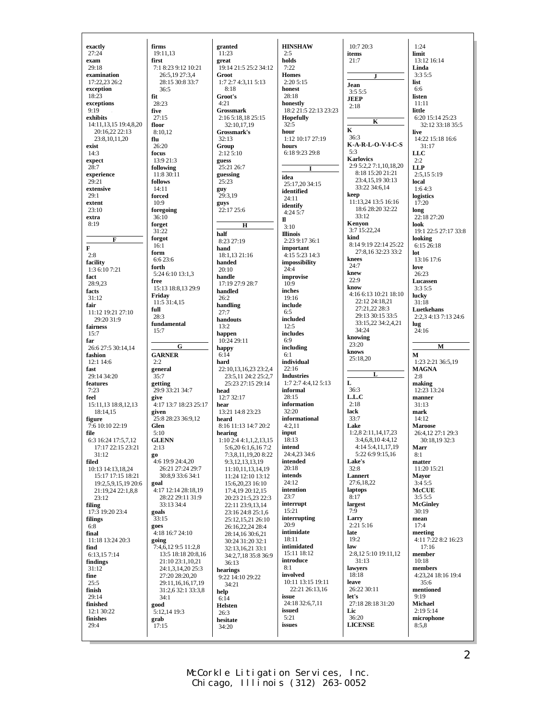| exactly                                  | firms                                     | granted                                         | <b>HINSHAW</b>                        | 10:7 20:3                              | 1:24                               |
|------------------------------------------|-------------------------------------------|-------------------------------------------------|---------------------------------------|----------------------------------------|------------------------------------|
| 27:24                                    | 19:11,13                                  | 11:23                                           | 2:5                                   | items                                  | limit                              |
| exam                                     | first                                     | great                                           | holds                                 | 21:7                                   | 13:12 16:14                        |
| 29:18                                    | 7:1 8:23 9:12 10:21                       | 19:14 21:5 25:2 34:12                           | 7:22                                  |                                        | Linda                              |
| examination<br>17:22,23 26:2             | 26:5,19 27:3,4<br>28:15 30:8 33:7         | Groot<br>1:7 2:7 4:3,11 5:13                    | <b>Homes</b><br>2:205:15              | J                                      | 3:35:5<br>list                     |
| exception                                | 36:5                                      | 8:18                                            | honest                                | Jean                                   | 6:6                                |
| 18:23                                    | fit                                       | Groot's                                         | 28:18                                 | 3:55:5                                 | listen                             |
| exceptions                               | 28:23                                     | 4:21                                            | honestly                              | <b>JEEP</b><br>2:18                    | 11:11                              |
| 9:19                                     | five                                      | <b>Grossmark</b>                                | 18:2 21:5 22:13 23:23                 |                                        | little                             |
| exhibits                                 | 27:15                                     | 2:16 5:18,18 25:15                              | Hopefully                             | K                                      | 6:20 15:14 25:23                   |
| 14:11, 13, 15 19:4, 8, 20                | floor                                     | 32:10,17,19                                     | 32:5                                  | $\mathbf K$                            | 32:12 33:18 35:5                   |
| 20:16,22 22:13                           | 8:10.12                                   | Grossmark's                                     | hour                                  | 36:3                                   | live                               |
| 23:8, 10, 11, 20                         | flu                                       | 32:13                                           | 1:12 10:17 27:19<br>hours             | $K-A-R-L-O-V-LC-S$                     | 14:22 15:18 16:6                   |
| exist<br>14:3                            | 26:20<br>focus                            | Group<br>2:125:10                               | 6:18 9:23 29:8                        | 5:3                                    | 31:17<br><b>LLC</b>                |
| expect                                   | 13:9 21:3                                 | guess                                           |                                       | <b>Karlovics</b>                       | 2:2                                |
| 28:7                                     | following                                 | 25:21 26:7                                      | 1                                     | 2:9 5:2,2 7:1,10,18,20                 | <b>LLP</b>                         |
| experience                               | 11:8 30:11                                | guessing                                        | idea                                  | 8:18 15:20 21:21                       | 2:5.155:19                         |
| 29:21                                    | follows                                   | 25:23                                           | 25:17,20 34:15                        | 23:4,15,19 30:13                       | local                              |
| extensive                                | 14:11                                     | guy                                             | identified                            | 33:22 34:6,14                          | 1:64:3                             |
| 29:1                                     | forced                                    | 29:3,19                                         | 24:11                                 | keep<br>11:13,24 13:5 16:16            | logistics                          |
| extent<br>23:10                          | 10:9                                      | guys<br>22:17 25:6                              | identify                              | 18:6 28:20 32:22                       | 17:20<br>long                      |
| extra                                    | foregoing<br>36:10                        |                                                 | 4:245:7                               | 33:12                                  | 22:18 27:20                        |
| 8:19                                     | forget                                    | Н                                               | п                                     | Kenyon                                 | look                               |
|                                          | 31:22                                     | half                                            | 3:10<br><b>Illinois</b>               | 3:7 15:22,24                           | 19:1 22:5 27:17 33:8               |
| F                                        | forgot                                    | 8:23 27:19                                      | 2:23 9:17 36:1                        | kind                                   | looking                            |
| F                                        | 16:1                                      | hand                                            | important                             | 8:14 9:19 22:14 25:22                  | 6:15 26:18                         |
| 2:8                                      | form                                      | 18:1.13 21:16                                   | 4:15 5:23 14:3                        | 27:8,16 32:23 33:2                     | lot                                |
| facility                                 | 6:623:6                                   | handed                                          | impossibility                         | knees<br>24:7                          | 13:16 17:6                         |
| 1:3 6:10 7:21                            | forth<br>5:24 6:10 13:1.3                 | 20:10                                           | 24:4                                  | knew                                   | love<br>26:23                      |
| fact                                     | free                                      | handle                                          | improvise                             | 22:9                                   | Lucassen                           |
| 28:9,23                                  | 15:13 18:8,13 29:9                        | 17:19 27:9 28:7                                 | 10:9<br>inches                        | know                                   | 3:35:5                             |
| facts<br>31:12                           | Friday                                    | handled<br>26:2                                 | 19:16                                 | 4:16 6:13 10:21 18:10                  | lucky                              |
| fair                                     | 11:5 31:4,15                              | handling                                        | include                               | 22:12 24:18,21                         | 31:18                              |
| 11:12 19:21 27:10                        | full                                      | 27:7                                            | 6:5                                   | 27:21,22 28:3                          | Luetkehans                         |
| 29:20 31:9                               | 28:3                                      | handouts                                        | included                              | 29:13 30:15 33:5                       | 2:2,3 4:13 7:13 24:6               |
| fairness                                 | fundamental                               | 13:2                                            | 12:5                                  | 33:15,22 34:2,4,21                     | lug                                |
| 15:7                                     | 15:7                                      | happen                                          | includes                              | 34:24                                  | 24:16                              |
|                                          |                                           |                                                 |                                       |                                        |                                    |
| far                                      |                                           | 10:24 29:11                                     | 6:9                                   | knowing                                |                                    |
| 26:6 27:5 30:14,14                       | G                                         | happy                                           | including                             | 23:20                                  | М                                  |
| fashion                                  | <b>GARNER</b>                             | 6:14                                            | 6:1                                   | knows<br>25:18,20                      | м                                  |
| $12:1$ 14:6                              | 2:2                                       | hard                                            | individual                            |                                        | 1:23 2:21 36:5,19                  |
| fast                                     | general                                   | 22:10,13,16,23 23:2,4                           | 22:16                                 | L                                      | <b>MAGNA</b>                       |
| 29:14 34:20<br>features                  | 35:7                                      | 23:5,11 24:2 25:2,7                             | <b>Industries</b><br>1:72:74:4,125:13 | L                                      | 2:8                                |
| 7:23                                     | getting<br>29:9 33:21 34:7                | 25:23 27:15 29:14<br>head                       | informal                              | 36:3                                   | making<br>12:23 13:24              |
| feel                                     | give                                      | 12:7 32:17                                      | 28:15                                 | L.L.C                                  | manner                             |
| 15:11,13 18:8,12,13                      | 4:17 13:7 18:23 25:17                     | hear                                            | information                           | 2:18                                   | 31:13                              |
| 18:14,15                                 | given                                     | 13:21 14:8 23:23                                | 32:20                                 | lack                                   | mark                               |
| figure                                   | 25:8 28:23 36:9,12                        | heard                                           | informational                         | 33:7                                   | 14:12                              |
| 7:6 10:10 22:19                          | Glen                                      | 8:16 11:13 14:7 20:2                            | 4:2.11                                | Lake                                   | <b>Maroose</b>                     |
| file                                     | 5:10                                      | hearing                                         | input                                 | 1:2,82:11,14,17,23                     | 26:4,12 27:1 29:3<br>30:18.19 32:3 |
| 6:3 16:24 17:5,7,12<br>17:17 22:15 23:21 | <b>GLENN</b><br>2:13                      | $1:10$ 2:4 4:1,1,2,13,15<br>5:6,20 6:1,6,16 7:2 | 18:13<br>intend                       | 3:4,6,8,10 4:4,12<br>4:14 5:4,11,17,19 | Marr                               |
| 31:12                                    | go                                        | 7:3,8,11,19,20 8:22                             | 24:4,23 34:6                          | 5:22 6:9 9:15,16                       | 8:1                                |
| filed                                    | 4:6 19:9 24:4,20                          | 9:3, 12, 13, 13, 19                             | intended                              | Lake's                                 | matter                             |
| 10:13 14:13,18,24                        | 26:21 27:24 29:7                          | 11:10,11,13,14,19                               | 20:18                                 | 32:8                                   | 11:20 15:21                        |
| 15:17 17:15 18:21                        | 30:8,9 33:6 34:1                          | 11:24 12:10 13:12                               | intends                               | <b>Lannert</b>                         | <b>Mayor</b>                       |
| 19:2,5,9,15,19 20:6                      | goal                                      | 15:6,20,23 16:10                                | 24:12<br>intention                    | 27:6,18,22                             | 3:45:5                             |
| 21:19,24 22:1,8,8                        | 4:17 12:14 28:18,19<br>28:22 29:11 31:9   | 17:4,19 20:12,15                                | 23:7                                  | laptops<br>8:17                        | <b>McCUE</b><br>3:55:5             |
| 23:12<br>filing                          | 33:13 34:4                                | 20:23 21:5,23 22:3<br>22:11 23:9,13,14          | interrupt                             | largest                                | <b>McGinley</b>                    |
| 17:3 19:20 23:4                          | goals                                     | 23:16 24:8 25:1,6                               | 15:21                                 | 7:9                                    | 30:19                              |
| filings                                  | 33:15                                     | 25:12,15,21 26:10                               | interrupting                          | Larry                                  | mean                               |
| 6:8                                      | goes                                      | 26:16,22,24 28:4                                | 20:9                                  | 2:215:16                               | 17:4                               |
| final                                    | 4:18 16:7 24:10                           | 28:14,16 30:6,21                                | intimidate<br>18:11                   | late                                   | meeting                            |
| 11:18 13:24 20:3                         | going                                     | 30:24 31:20 32:1                                | intimidated                           | 19:2<br>law                            | 4:11 7:22 8:2 16:23<br>17:16       |
| find<br>6:13,157:14                      | 7:4,6,12 9:5 11:2,8<br>13:5 18:18 20:8,16 | 32:13,16,21 33:1                                | 15:11 18:12                           | 2:8,12 5:10 19:11,12                   | member                             |
| findings                                 | 21:10 23:1,10,21                          | 34:2,7,18 35:8 36:9                             | introduce                             | 31:13                                  | 10:18                              |
| 31:12                                    | 24:1,3,14,20 25:3                         | 36:13<br>hearings                               | 8:1                                   | lawyers                                | members                            |
| fine                                     | 27:20 28:20,20                            | 9:22 14:10 29:22                                | involved                              | 18:18                                  | 4:23,24 18:16 19:4                 |
| 25:5                                     | 29:11,16,16,17,19                         | 34:21                                           | 10:11 13:15 19:11                     | leave                                  | 35:6                               |
| finish                                   | 31:2,6 32:1 33:3,8                        | help                                            | 22:21 26:13,16                        | 26:22 30:11                            | mentioned                          |
| 29:14                                    | 34:1                                      | 6:14                                            | issue                                 | let's                                  | 9:19                               |
| finished<br>12:1 30:22                   | good                                      | Helsten                                         | 24:18 32:6,7,11<br>issued             | 27:18 28:18 31:20<br>Lic               | Michael<br>2:195:14                |
| finishes                                 | 5:12,14 19:3<br>grab                      | 26:3                                            | 5:21                                  | 36:20                                  | microphone                         |
| 29:4                                     | 17:15                                     | hesitate<br>34:20                               | issues                                | <b>LICENSE</b>                         | 8:5,8                              |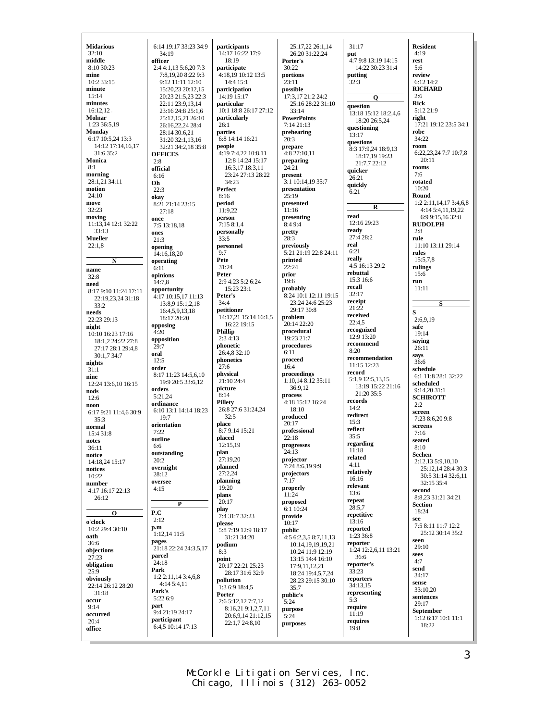| <b>Midarious</b>               | 6:14 19:17 33:23 34:9                       | participants                         | 25:17,22 26:1,14                     |
|--------------------------------|---------------------------------------------|--------------------------------------|--------------------------------------|
| 32:10                          | 34:19                                       | 14:17 16:22 17:9                     | 26:20 31:22,24                       |
| middle                         | officer                                     | 18:19                                | Porter's                             |
| 8:10 30:23<br>mine             | 2:4 4:1,13 5:6,20 7:3<br>7:8,19,20 8:22 9:3 | participate<br>4:18,19 10:12 13:5    | 30:22<br>portions                    |
| 10:2 33:15                     | 9:12 11:11 12:10                            | 14:4 15:1                            | 23:11                                |
| minute                         | 15:20,23 20:12,15                           | participation                        | possible                             |
| 15:14<br>minutes               | 20:23 21:5,23 22:3                          | 14:19 15:17                          | 17:3,17 21:2 24:2                    |
| $16:12,12$ .                   | 22:11 23:9,13,14<br>23:16 24:8 25:1,6       | particular<br>10:1 18:8 26:17 27:12  | 25:16 28:22 31:10<br>33:14           |
| Molnar                         | 25:12,15,21 26:10                           | particularly                         | <b>PowerPoints</b>                   |
| 1:23 36:5,19                   | 26:16,22,24 28:4                            | 26:1                                 | 7:14 21:13                           |
| Monday<br>6:17 10:5,24 13:3    | 28:14 30:6.21<br>31:20 32:1,13,16           | parties<br>6:8 14:14 16:21           | prehearing<br>20:3                   |
| 14:12 17:14,16,17              | 32:21 34:2,18 35:8                          | people                               | prepare                              |
| 31:6 35:2                      | <b>OFFICES</b>                              | 4:19 7:4,22 10:8,11                  | 4:8 27:10,11                         |
| Monica<br>8:1                  | 2:8<br>official                             | 12:8 14:24 15:17<br>16:3,17 18:3,11  | preparing<br>24:21                   |
| morning                        | 6:16                                        | 23:24 27:13 28:22                    | present                              |
| 28:1,21 34:11                  | Oh                                          | 34:23                                | 3:1 10:14,19 35:7                    |
| motion<br>24:10                | 22:3                                        | Perfect<br>8:16                      | presentation<br>25:19                |
| move                           | okav<br>8:21 21:14 23:15                    | period                               | presented                            |
| 32:23                          | 27:18                                       | 11:9,22                              | 11:16                                |
| moving                         | once                                        | person                               | presenting<br>8:49:4                 |
| 11:13,14 12:1 32:22<br>33:13   | 7:5 13:18,18<br>ones                        | 7:15 8:1,4<br>personally             | pretty                               |
| Mueller                        | 21:3                                        | 33:5                                 | 28:3                                 |
| 22:1,8                         | opening                                     | personnel                            | previously                           |
|                                | 14:16,18,20                                 | 9:7<br>Pete                          | 5:21 21:19 22:8 24:1<br>printed      |
| N<br>name                      | operating<br>6:11                           | 31:24                                | 22:24                                |
| 32:8                           | opinions                                    | Peter                                | prior                                |
| need                           | 14:7,8                                      | 2:9 4:23 5:2 6:24<br>15:23 23:1      | 19:6<br>probably                     |
| 8:17 9:10 11:24 17:11          | opportunity<br>4:17 10:15,17 11:13          | Peter's                              | 8:24 10:1 12:11 19:1                 |
| 22:19,23,24 31:18<br>33:2      | 13:8,9 15:1,2,18                            | 34:4                                 | 23:24 24:6 25:23                     |
| needs                          | 16:4,5,9,13,18                              | petitioner                           | 29:17 30:8                           |
| 22:23 29:13                    | 18:17 20:20<br>opposing                     | 14:17,21 15:14 16:1,5<br>16:22 19:15 | problem<br>20:14 22:20               |
| night<br>10:10 16:23 17:16     | 4:20                                        | Phillip                              | procedural                           |
| 18:1,2 24:22 27:8              | opposition                                  | 2:34:13                              | 19:23 21:7                           |
| 27:17 28:1 29:4,8              | 29:7                                        | phonetic<br>26:4,8 32:10             | procedures<br>6:11                   |
| 30:1,7 34:7<br>nights          | oral<br>12:5                                | phonetics                            | proceed                              |
| 31:1                           | order                                       | 27:6                                 | 16:4                                 |
| nine                           | 8:17 11:23 14:5,6,10                        | physical<br>21:10 24:4               | proceedings<br>1:10,14 8:12 35:11    |
| 12:24 13:6,10 16:15<br>nods    | 19:9 20:5 33:6,12<br>orders                 | picture                              | 36:9,12                              |
| 12:6                           | 5:21,24                                     | 8:14                                 | process                              |
| noon                           | ordinance                                   | Pillety<br>26:8 27:6 31:24,24        | 4:18 15:12 16:24<br>18:10            |
| 6:17 9:21 11:4,6 30:9          | 6:10 13:1 14:14 18:23<br>19:7               | 32:5                                 | produced                             |
| 35:3<br>normal                 | orientation                                 | place                                | 20:17                                |
| 15:4 31:8                      | 7:22                                        | 8:79:1415:21                         | professional                         |
| notes                          | outline<br>6:6                              | placed<br>12:15,19                   | 22:18<br>progresses                  |
| 36:11<br>notice                | outstanding                                 | plan                                 | 24:13                                |
| 14:18,24 15:17                 | 20:2                                        | 27:19,20                             | projector<br>7:24 8:6,19 9:9         |
| notices                        | overnight<br>28:12                          | planned<br>27:2,24                   | projectors                           |
| 10:22<br>number                | oversee                                     | planning                             | 7:17                                 |
| 4:17 16:17 22:13               | 4:15                                        | 19:20                                | properly                             |
| 26:12                          |                                             | plans<br>20:17                       | 11:24<br>proposed                    |
|                                | P                                           | play                                 | 6:1 10:24                            |
| О<br>o'clock                   | P.C<br>2:12                                 | 7:4 31:7 32:23                       | provide                              |
| 10:2 29:4 30:10                | p.m                                         | please<br>5:8 7:19 12:9 18:17        | 10:17<br>public                      |
| oath                           | 1:12,14 11:5                                | 31:21 34:20                          | 4:5 6:2,3,5 8:7,11,13                |
| 36:6                           | pages<br>21:18 22:24 24:3,5,17              | podium                               | 10:14,19,19,19,21                    |
| objections<br>27:23            | parcel                                      | 8:3<br>point                         | 10:24 11:9 12:19<br>13:15 14:4 16:10 |
| obligation                     | 24:18                                       | 20:17 22:21 25:23                    | 17:9,11,12,21                        |
| 25:9                           | Park<br>1:2 2:11,14 3:4,6,8                 | 28:17 31:6 32:9                      | 18:24 19:4,5,7,24                    |
| obviously<br>22:14 26:12 28:20 | 4:145:4,11                                  | pollution<br>1:3 6:9 18:4,5          | 28:23 29:15 30:10                    |
| 31:18                          | Park's                                      | Porter                               | 35:7<br>public's                     |
| occur                          | 5:22 6:9<br>part                            | 2:6 5:12,12 7:7,12                   | 5:24                                 |
| 9:14<br>occurred               | 9:4 21:19 24:17                             | 8:16,21 9:1,2,7,11                   | purpose                              |
| 20:4                           | participant                                 | 20:6,9,14 21:12,15<br>22:1,7 24:8,10 | 5:24<br>purposes                     |
| office                         | 6:4,5 10:14 17:13                           |                                      |                                      |
|                                |                                             |                                      |                                      |

 $:10$  $4:11$ 9:15<br>23 .13  $\frac{21}{9}$  $.10$ 31:17 **put** 4:7 9:8 13:19 14:15 14:22 30:23 31:4 **putting**  $32:3$ **question** 13:18 15:12 18:2,4,6 18:20 26:5,24 **questioning**  $13:17$ **questions** 8:3 17:9,24 18:9,13 18:17,19 19:23 21:7,7 22:12 **quicker**  $26:21$ **quickly** 6:21 **read** 12:16 29:23 **ready** 27:4 28:2 **real** 6:21 **really** 4:5 16:13 29:2 **rebuttal** 15:3 16:6 **recall**  $32:17$ **receipt** 21:22 **received** 22:4,5 **recognized** 12:9 13:20 **recommend** 8:20 **recommendation** 11:15 12:23 **record** 5:1,9 12:5,13,15 13:19 15:22 21:16 21:20 35:5 **records** 14:2 **redirect** 15:3 **reflect** 35:5 **regarding** 11:18 **related** 4:11 **relatively** 16:16 **relevant** 13:6 **repeat** 28:5,7 **repetitive** 13:16 **reported** 1:23 36:8 **reporter** 1:24 12:2,6,11 13:21 36:6 **reporter's** 33:23 **reporters** 34:13,15 **representing** 5:3 **require**  $11:19$ **requires** 19:8

**Q**

**R**

**Resident** 4:19 **rest** 5:6 **review** 6:12 14:2 **RICHARD** 2:6 **Rick** 5:12 21:9 **right** 17:21 19:12 23:5 34:1 **robe** 34:22 **room** 6:22,23,24 7:7 10:7,8 20:11 **rooms** 7:6 **rotated**  $10.20$ **Round** 1:2 2:11,14,17 3:4,6,8 4:14 5:4,11,19,22 6:9 9:15,16 32:8 **RUDOLPH** 2:8 **rule** 11:10 13:11 29:14 **rules**  $15:5,7,8$ **rulings** 15:6 **run** 11:11 **S S** 2:6,9,19 **safe** 19:14 **saying** 26:11 **says** 36:6 **schedule** 6:1 11:8 28:1 32:22 **scheduled** 9:14,20 31:1 **SCHIROTT**  $2:2$ **screen** 7:23 8:6,20 9:8 **screens** 7:16 **seated** 8:10 **Sechen** 2:12,13 5:9,10,10 25:12,14 28:4 30:3 30:5 31:14 32:6,11 32:15 35:4 **second** 8:8,23 31:21 34:21 **Section** 18:24 **see** 7:5 8:11 11:7 12:2 25:12 30:14 35:2 **seen** 29:10 **sees** 4:7 **send** 34:17 **sense**  $33:10,20$ **sentences** 29:17 **September** 1:12 6:17 10:1 11:1 18:22